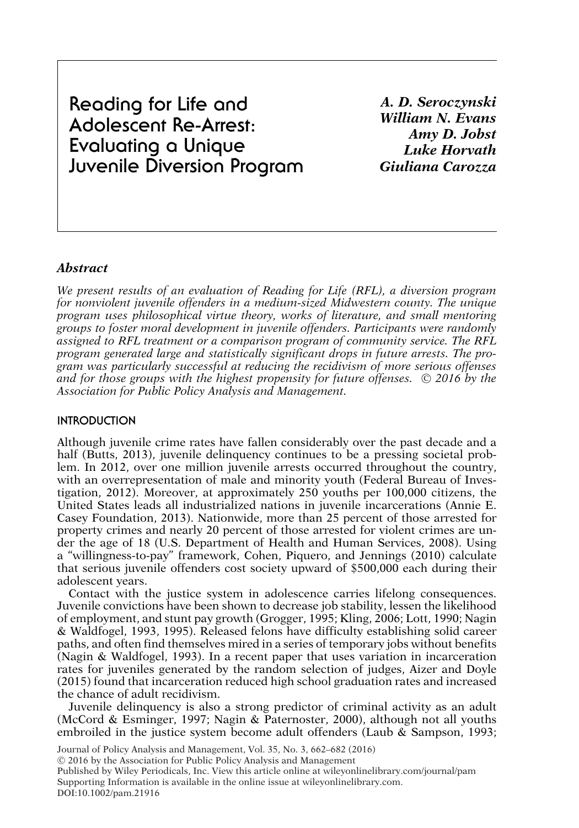**Reading for Life and Adolescent Re-Arrest: Evaluating a Unique Juvenile Diversion Program** *A. D. Seroczynski William N. Evans Amy D. Jobst Luke Horvath Giuliana Carozza*

# *Abstract*

*We present results of an evaluation of Reading for Life (RFL), a diversion program for nonviolent juvenile offenders in a medium-sized Midwestern county. The unique program uses philosophical virtue theory, works of literature, and small mentoring groups to foster moral development in juvenile offenders. Participants were randomly assigned to RFL treatment or a comparison program of community service. The RFL program generated large and statistically significant drops in future arrests. The program was particularly successful at reducing the recidivism of more serious offenses* and for those groups with the highest propensity for future offenses.  $\,$  2016 by the *Association for Public Policy Analysis and Management.*

## **INTRODUCTION**

Although juvenile crime rates have fallen considerably over the past decade and a half (Butts, 2013), juvenile delinquency continues to be a pressing societal problem. In 2012, over one million juvenile arrests occurred throughout the country, with an overrepresentation of male and minority youth (Federal Bureau of Investigation, 2012). Moreover, at approximately 250 youths per 100,000 citizens, the United States leads all industrialized nations in juvenile incarcerations (Annie E. Casey Foundation, 2013). Nationwide, more than 25 percent of those arrested for property crimes and nearly 20 percent of those arrested for violent crimes are under the age of 18 (U.S. Department of Health and Human Services, 2008). Using a "willingness-to-pay" framework, Cohen, Piquero, and Jennings (2010) calculate that serious juvenile offenders cost society upward of \$500,000 each during their adolescent years.

Contact with the justice system in adolescence carries lifelong consequences. Juvenile convictions have been shown to decrease job stability, lessen the likelihood of employment, and stunt pay growth (Grogger, 1995; Kling, 2006; Lott, 1990; Nagin & Waldfogel, 1993, 1995). Released felons have difficulty establishing solid career paths, and often find themselves mired in a series of temporary jobs without benefits (Nagin & Waldfogel, 1993). In a recent paper that uses variation in incarceration rates for juveniles generated by the random selection of judges, Aizer and Doyle (2015) found that incarceration reduced high school graduation rates and increased the chance of adult recidivism.

Juvenile delinquency is also a strong predictor of criminal activity as an adult (McCord & Esminger, 1997; Nagin & Paternoster, 2000), although not all youths embroiled in the justice system become adult offenders (Laub & Sampson, 1993;

Journal of Policy Analysis and Management, Vol. 35, No. 3, 662–682 (2016)

-<sup>C</sup> 2016 by the Association for Public Policy Analysis and Management

Published by Wiley Periodicals, Inc. View this article online at wileyonlinelibrary.com/journal/pam Supporting Information is available in the online issue at wileyonlinelibrary.com. DOI:10.1002/pam.21916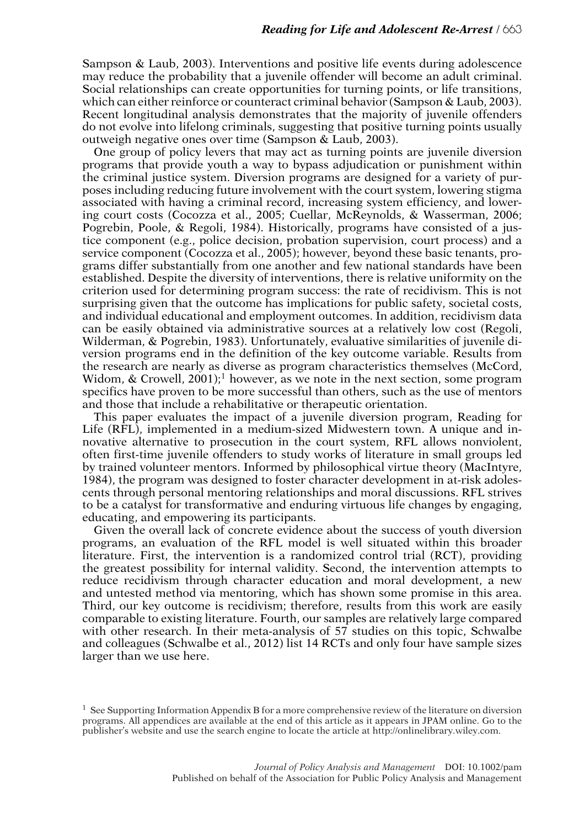Sampson & Laub, 2003). Interventions and positive life events during adolescence may reduce the probability that a juvenile offender will become an adult criminal. Social relationships can create opportunities for turning points, or life transitions, which can either reinforce or counteract criminal behavior (Sampson & Laub, 2003). Recent longitudinal analysis demonstrates that the majority of juvenile offenders do not evolve into lifelong criminals, suggesting that positive turning points usually outweigh negative ones over time (Sampson & Laub, 2003).

One group of policy levers that may act as turning points are juvenile diversion programs that provide youth a way to bypass adjudication or punishment within the criminal justice system. Diversion programs are designed for a variety of purposes including reducing future involvement with the court system, lowering stigma associated with having a criminal record, increasing system efficiency, and lowering court costs (Cocozza et al., 2005; Cuellar, McReynolds, & Wasserman, 2006; Pogrebin, Poole, & Regoli, 1984). Historically, programs have consisted of a justice component (e.g., police decision, probation supervision, court process) and a service component (Cocozza et al., 2005); however, beyond these basic tenants, programs differ substantially from one another and few national standards have been established. Despite the diversity of interventions, there is relative uniformity on the criterion used for determining program success: the rate of recidivism. This is not surprising given that the outcome has implications for public safety, societal costs, and individual educational and employment outcomes. In addition, recidivism data can be easily obtained via administrative sources at a relatively low cost (Regoli, Wilderman, & Pogrebin, 1983). Unfortunately, evaluative similarities of juvenile diversion programs end in the definition of the key outcome variable. Results from the research are nearly as diverse as program characteristics themselves (McCord, Widom, & Crowell, 2001);<sup>1</sup> however, as we note in the next section, some program specifics have proven to be more successful than others, such as the use of mentors and those that include a rehabilitative or therapeutic orientation.

This paper evaluates the impact of a juvenile diversion program, Reading for Life (RFL), implemented in a medium-sized Midwestern town. A unique and innovative alternative to prosecution in the court system, RFL allows nonviolent, often first-time juvenile offenders to study works of literature in small groups led by trained volunteer mentors. Informed by philosophical virtue theory (MacIntyre, 1984), the program was designed to foster character development in at-risk adolescents through personal mentoring relationships and moral discussions. RFL strives to be a catalyst for transformative and enduring virtuous life changes by engaging, educating, and empowering its participants.

Given the overall lack of concrete evidence about the success of youth diversion programs, an evaluation of the RFL model is well situated within this broader literature. First, the intervention is a randomized control trial (RCT), providing the greatest possibility for internal validity. Second, the intervention attempts to reduce recidivism through character education and moral development, a new and untested method via mentoring, which has shown some promise in this area. Third, our key outcome is recidivism; therefore, results from this work are easily comparable to existing literature. Fourth, our samples are relatively large compared with other research. In their meta-analysis of 57 studies on this topic, Schwalbe and colleagues (Schwalbe et al., 2012) list 14 RCTs and only four have sample sizes larger than we use here.

<sup>&</sup>lt;sup>1</sup> See Supporting Information Appendix B for a more comprehensive review of the literature on diversion programs. All appendices are available at the end of this article as it appears in JPAM online. Go to the publisher's website and use the search engine to locate the article at http://onlinelibrary.wiley.com.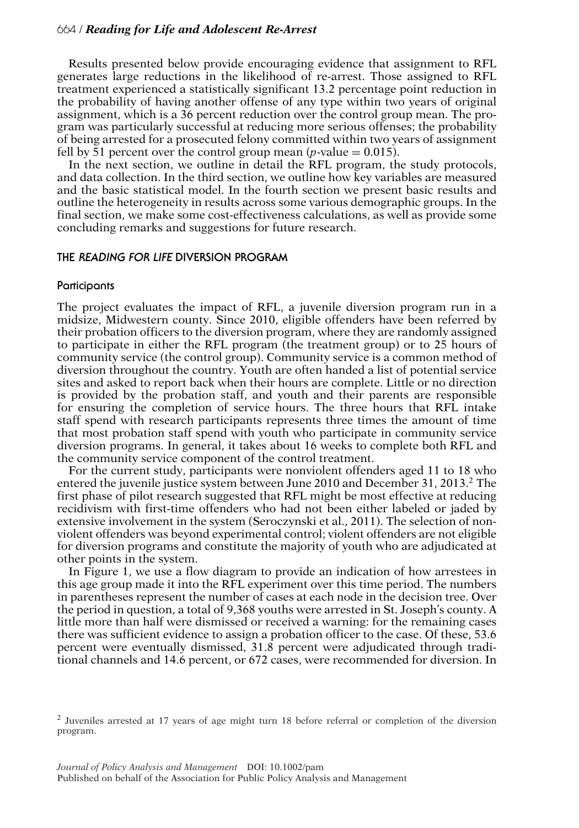Results presented below provide encouraging evidence that assignment to RFL generates large reductions in the likelihood of re-arrest. Those assigned to RFL treatment experienced a statistically significant 13.2 percentage point reduction in the probability of having another offense of any type within two years of original assignment, which is a 36 percent reduction over the control group mean. The program was particularly successful at reducing more serious offenses; the probability of being arrested for a prosecuted felony committed within two years of assignment fell by 51 percent over the control group mean  $(p$ -value = 0.015).

In the next section, we outline in detail the RFL program, the study protocols, and data collection. In the third section, we outline how key variables are measured and the basic statistical model. In the fourth section we present basic results and outline the heterogeneity in results across some various demographic groups. In the final section, we make some cost-effectiveness calculations, as well as provide some concluding remarks and suggestions for future research.

## **THE READING FOR LIFE DIVERSION PROGRAM**

#### **Participants**

The project evaluates the impact of RFL, a juvenile diversion program run in a midsize, Midwestern county. Since 2010, eligible offenders have been referred by their probation officers to the diversion program, where they are randomly assigned to participate in either the RFL program (the treatment group) or to 25 hours of community service (the control group). Community service is a common method of diversion throughout the country. Youth are often handed a list of potential service sites and asked to report back when their hours are complete. Little or no direction is provided by the probation staff, and youth and their parents are responsible for ensuring the completion of service hours. The three hours that RFL intake staff spend with research participants represents three times the amount of time that most probation staff spend with youth who participate in community service diversion programs. In general, it takes about 16 weeks to complete both RFL and the community service component of the control treatment.

For the current study, participants were nonviolent offenders aged 11 to 18 who entered the juvenile justice system between June 2010 and December 31, 2013.<sup>2</sup> The first phase of pilot research suggested that RFL might be most effective at reducing recidivism with first-time offenders who had not been either labeled or jaded by extensive involvement in the system (Seroczynski et al., 2011). The selection of nonviolent offenders was beyond experimental control; violent offenders are not eligible for diversion programs and constitute the majority of youth who are adjudicated at other points in the system.

In Figure 1, we use a flow diagram to provide an indication of how arrestees in this age group made it into the RFL experiment over this time period. The numbers in parentheses represent the number of cases at each node in the decision tree. Over the period in question, a total of 9,368 youths were arrested in St. Joseph's county. A little more than half were dismissed or received a warning: for the remaining cases there was sufficient evidence to assign a probation officer to the case. Of these, 53.6 percent were eventually dismissed, 31.8 percent were adjudicated through traditional channels and 14.6 percent, or 672 cases, were recommended for diversion. In

<sup>2</sup> Juveniles arrested at 17 years of age might turn 18 before referral or completion of the diversion program.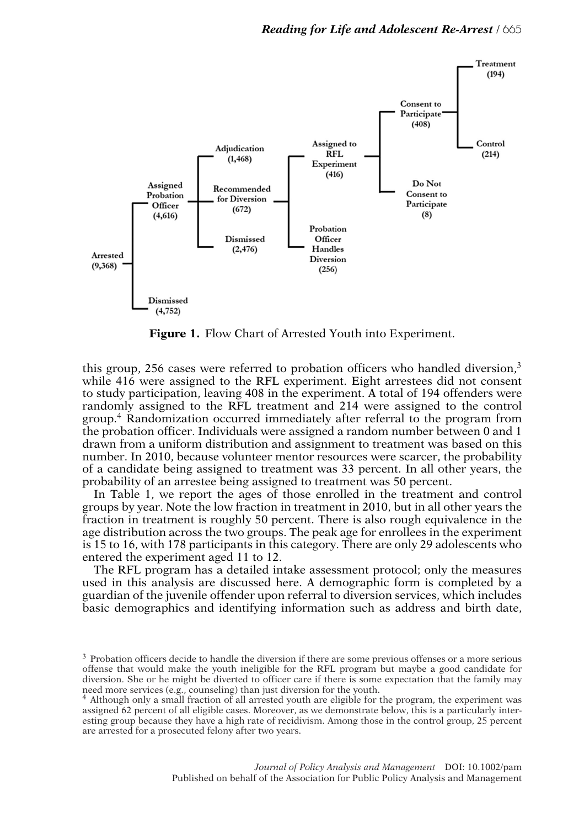

**Figure 1.** Flow Chart of Arrested Youth into Experiment.

this group, 256 cases were referred to probation officers who handled diversion,<sup>3</sup> while 416 were assigned to the RFL experiment. Eight arrestees did not consent to study participation, leaving 408 in the experiment. A total of 194 offenders were randomly assigned to the RFL treatment and 214 were assigned to the control group.<sup>4</sup> Randomization occurred immediately after referral to the program from the probation officer. Individuals were assigned a random number between 0 and 1 drawn from a uniform distribution and assignment to treatment was based on this number. In 2010, because volunteer mentor resources were scarcer, the probability of a candidate being assigned to treatment was 33 percent. In all other years, the probability of an arrestee being assigned to treatment was 50 percent.

In Table 1, we report the ages of those enrolled in the treatment and control groups by year. Note the low fraction in treatment in 2010, but in all other years the fraction in treatment is roughly 50 percent. There is also rough equivalence in the age distribution across the two groups. The peak age for enrollees in the experiment is 15 to 16, with 178 participants in this category. There are only 29 adolescents who entered the experiment aged 11 to 12.

The RFL program has a detailed intake assessment protocol; only the measures used in this analysis are discussed here. A demographic form is completed by a guardian of the juvenile offender upon referral to diversion services, which includes basic demographics and identifying information such as address and birth date,

<sup>&</sup>lt;sup>3</sup> Probation officers decide to handle the diversion if there are some previous offenses or a more serious offense that would make the youth ineligible for the RFL program but maybe a good candidate for diversion. She or he might be diverted to officer care if there is some expectation that the family may need more services (e.g., counseling) than just diversion for the youth.

<sup>4</sup> Although only a small fraction of all arrested youth are eligible for the program, the experiment was assigned 62 percent of all eligible cases. Moreover, as we demonstrate below, this is a particularly interesting group because they have a high rate of recidivism. Among those in the control group, 25 percent are arrested for a prosecuted felony after two years.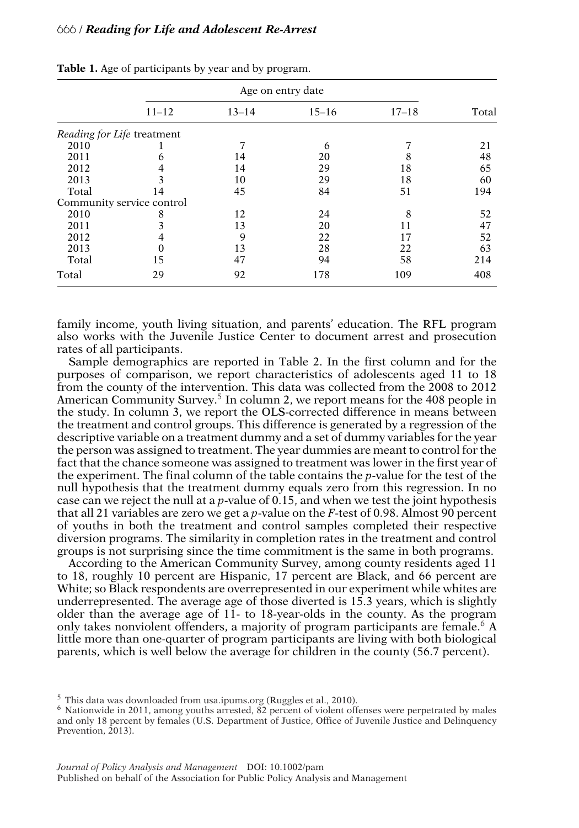|       |                            |           | Age on entry date |           |       |
|-------|----------------------------|-----------|-------------------|-----------|-------|
|       | $11 - 12$                  | $13 - 14$ | $15 - 16$         | $17 - 18$ | Total |
|       | Reading for Life treatment |           |                   |           |       |
| 2010  |                            |           | h                 |           | 21    |
| 2011  |                            | 14        | 20                |           | 48    |
| 2012  |                            | 14        | 29                | 18        | 65    |
| 2013  |                            | 10        | 29                | 18        | 60    |
| Total | 14                         | 45        | 84                | 51        | 194   |
|       | Community service control  |           |                   |           |       |
| 2010  | 8                          | 12        | 24                | 8         | 52    |
| 2011  |                            | 13        | 20                |           | 47    |
| 2012  |                            | 9         | 22                | 17        | 52    |
| 2013  |                            | 13        | 28                | 22        | 63    |
| Total | 15                         | 47        | 94                | 58        | 214   |
| Total | 29                         | 92        | 178               | 109       | 408   |

**Table 1.** Age of participants by year and by program.

family income, youth living situation, and parents' education. The RFL program also works with the Juvenile Justice Center to document arrest and prosecution rates of all participants.

Sample demographics are reported in Table 2. In the first column and for the purposes of comparison, we report characteristics of adolescents aged 11 to 18 from the county of the intervention. This data was collected from the 2008 to 2012 American Community Survey.<sup>5</sup> In column 2, we report means for the 408 people in the study. In column 3, we report the OLS-corrected difference in means between the treatment and control groups. This difference is generated by a regression of the descriptive variable on a treatment dummy and a set of dummy variables for the year the person was assigned to treatment. The year dummies are meant to control for the fact that the chance someone was assigned to treatment was lower in the first year of the experiment. The final column of the table contains the *p*-value for the test of the null hypothesis that the treatment dummy equals zero from this regression. In no case can we reject the null at a *p*-value of 0.15, and when we test the joint hypothesis that all 21 variables are zero we get a *p*-value on the *F*-test of 0.98. Almost 90 percent of youths in both the treatment and control samples completed their respective diversion programs. The similarity in completion rates in the treatment and control groups is not surprising since the time commitment is the same in both programs.

According to the American Community Survey, among county residents aged 11 to 18, roughly 10 percent are Hispanic, 17 percent are Black, and 66 percent are White; so Black respondents are overrepresented in our experiment while whites are underrepresented. The average age of those diverted is 15.3 years, which is slightly older than the average age of 11- to 18-year-olds in the county. As the program only takes nonviolent offenders, a majority of program participants are female.<sup>6</sup> A little more than one-quarter of program participants are living with both biological parents, which is well below the average for children in the county (56.7 percent).

<sup>&</sup>lt;sup>5</sup> This data was downloaded from usa.ipums.org (Ruggles et al., 2010).<br><sup>6</sup> Nationwide in 2011, among youths arrested, 82 percent of violent offenses were perpetrated by males and only 18 percent by females (U.S. Department of Justice, Office of Juvenile Justice and Delinquency Prevention, 2013).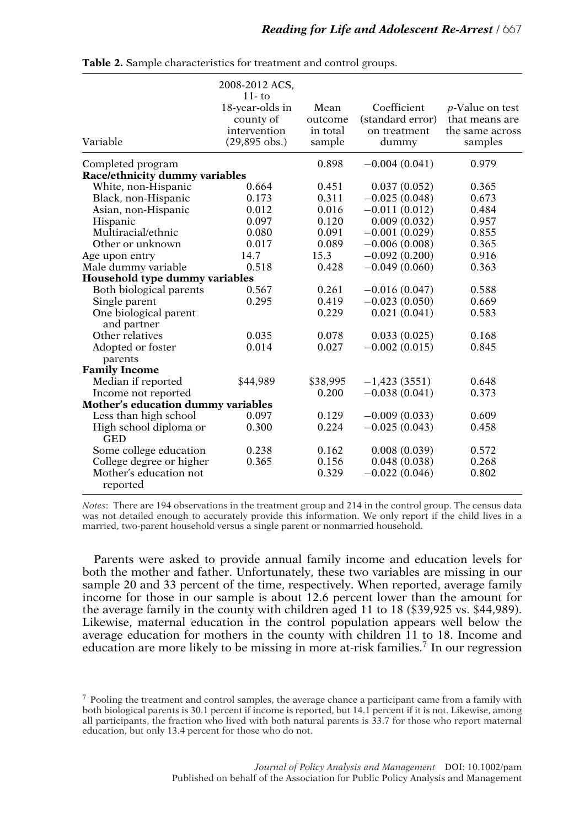|                                      | 2008-2012 ACS,<br>$11 - \text{to}$<br>18-year-olds in<br>county of<br>intervention | Mean<br>outcome<br>in total | Coefficient<br>(standard error)<br>on treatment | <i>p</i> -Value on test<br>that means are<br>the same across |
|--------------------------------------|------------------------------------------------------------------------------------|-----------------------------|-------------------------------------------------|--------------------------------------------------------------|
| Variable                             | $(29,895$ obs.)                                                                    | sample                      | dummy                                           | samples                                                      |
| Completed program                    |                                                                                    | 0.898                       | $-0.004(0.041)$                                 | 0.979                                                        |
| Race/ethnicity dummy variables       |                                                                                    |                             |                                                 |                                                              |
| White, non-Hispanic                  | 0.664                                                                              | 0.451                       | 0.037(0.052)                                    | 0.365                                                        |
| Black, non-Hispanic                  | 0.173                                                                              | 0.311                       | $-0.025(0.048)$                                 | 0.673                                                        |
| Asian, non-Hispanic                  | 0.012                                                                              | 0.016                       | $-0.011(0.012)$                                 | 0.484                                                        |
| Hispanic                             | 0.097                                                                              | 0.120                       | 0.009(0.032)                                    | 0.957                                                        |
| Multiracial/ethnic                   | 0.080                                                                              | 0.091                       | $-0.001(0.029)$                                 | 0.855                                                        |
| Other or unknown                     | 0.017                                                                              | 0.089                       | $-0.006(0.008)$                                 | 0.365                                                        |
| Age upon entry                       | 14.7                                                                               | 15.3                        | $-0.092(0.200)$                                 | 0.916                                                        |
| Male dummy variable                  | 0.518                                                                              | 0.428                       | $-0.049(0.060)$                                 | 0.363                                                        |
| Household type dummy variables       |                                                                                    |                             |                                                 |                                                              |
| Both biological parents              | 0.567                                                                              | 0.261                       | $-0.016(0.047)$                                 | 0.588                                                        |
| Single parent                        | 0.295                                                                              | 0.419                       | $-0.023(0.050)$                                 | 0.669                                                        |
| One biological parent<br>and partner |                                                                                    | 0.229                       | 0.021(0.041)                                    | 0.583                                                        |
| Other relatives                      | 0.035                                                                              | 0.078                       | 0.033(0.025)                                    | 0.168                                                        |
| Adopted or foster<br>parents         | 0.014                                                                              | 0.027                       | $-0.002(0.015)$                                 | 0.845                                                        |
| <b>Family Income</b>                 |                                                                                    |                             |                                                 |                                                              |
| Median if reported                   | \$44,989                                                                           | \$38,995                    | $-1,423(3551)$                                  | 0.648                                                        |
| Income not reported                  |                                                                                    | 0.200                       | $-0.038(0.041)$                                 | 0.373                                                        |
| Mother's education dummy variables   |                                                                                    |                             |                                                 |                                                              |
| Less than high school                | 0.097                                                                              | 0.129                       | $-0.009(0.033)$                                 | 0.609                                                        |
| High school diploma or<br><b>GED</b> | 0.300                                                                              | 0.224                       | $-0.025(0.043)$                                 | 0.458                                                        |
| Some college education               | 0.238                                                                              | 0.162                       | 0.008(0.039)                                    | 0.572                                                        |
| College degree or higher             | 0.365                                                                              | 0.156                       | 0.048(0.038)                                    | 0.268                                                        |
| Mother's education not<br>reported   |                                                                                    | 0.329                       | $-0.022(0.046)$                                 | 0.802                                                        |

**Table 2.** Sample characteristics for treatment and control groups.

*Notes*: There are 194 observations in the treatment group and 214 in the control group. The census data was not detailed enough to accurately provide this information. We only report if the child lives in a married, two-parent household versus a single parent or nonmarried household.

Parents were asked to provide annual family income and education levels for both the mother and father. Unfortunately, these two variables are missing in our sample 20 and 33 percent of the time, respectively. When reported, average family income for those in our sample is about 12.6 percent lower than the amount for the average family in the county with children aged 11 to 18 (\$39,925 vs. \$44,989). Likewise, maternal education in the control population appears well below the average education for mothers in the county with children 11 to 18. Income and education are more likely to be missing in more at-risk families.<sup>7</sup> In our regression

<sup>7</sup> Pooling the treatment and control samples, the average chance a participant came from a family with both biological parents is 30.1 percent if income is reported, but 14.1 percent if it is not. Likewise, among all participants, the fraction who lived with both natural parents is 33.7 for those who report maternal education, but only 13.4 percent for those who do not.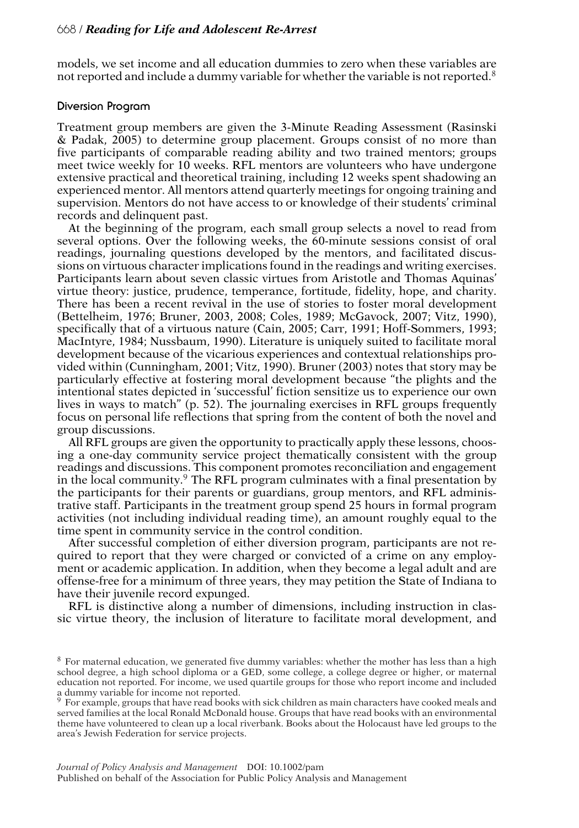models, we set income and all education dummies to zero when these variables are not reported and include a dummy variable for whether the variable is not reported. $8$ 

## **Diversion Program**

Treatment group members are given the 3-Minute Reading Assessment (Rasinski & Padak, 2005) to determine group placement. Groups consist of no more than five participants of comparable reading ability and two trained mentors; groups meet twice weekly for 10 weeks. RFL mentors are volunteers who have undergone extensive practical and theoretical training, including 12 weeks spent shadowing an experienced mentor. All mentors attend quarterly meetings for ongoing training and supervision. Mentors do not have access to or knowledge of their students' criminal records and delinquent past.

At the beginning of the program, each small group selects a novel to read from several options. Over the following weeks, the 60-minute sessions consist of oral readings, journaling questions developed by the mentors, and facilitated discussions on virtuous character implications found in the readings and writing exercises. Participants learn about seven classic virtues from Aristotle and Thomas Aquinas' virtue theory: justice, prudence, temperance, fortitude, fidelity, hope, and charity. There has been a recent revival in the use of stories to foster moral development (Bettelheim, 1976; Bruner, 2003, 2008; Coles, 1989; McGavock, 2007; Vitz, 1990), specifically that of a virtuous nature (Cain, 2005; Carr, 1991; Hoff-Sommers, 1993; MacIntyre, 1984; Nussbaum, 1990). Literature is uniquely suited to facilitate moral development because of the vicarious experiences and contextual relationships provided within (Cunningham, 2001; Vitz, 1990). Bruner (2003) notes that story may be particularly effective at fostering moral development because "the plights and the intentional states depicted in 'successful' fiction sensitize us to experience our own lives in ways to match" (p. 52). The journaling exercises in RFL groups frequently focus on personal life reflections that spring from the content of both the novel and group discussions.

All RFL groups are given the opportunity to practically apply these lessons, choosing a one-day community service project thematically consistent with the group readings and discussions. This component promotes reconciliation and engagement in the local community.<sup>9</sup> The RFL program culminates with a final presentation by the participants for their parents or guardians, group mentors, and RFL administrative staff. Participants in the treatment group spend 25 hours in formal program activities (not including individual reading time), an amount roughly equal to the time spent in community service in the control condition.

After successful completion of either diversion program, participants are not required to report that they were charged or convicted of a crime on any employment or academic application. In addition, when they become a legal adult and are offense-free for a minimum of three years, they may petition the State of Indiana to have their juvenile record expunged.

RFL is distinctive along a number of dimensions, including instruction in classic virtue theory, the inclusion of literature to facilitate moral development, and

<sup>8</sup> For maternal education, we generated five dummy variables: whether the mother has less than a high school degree, a high school diploma or a GED, some college, a college degree or higher, or maternal education not reported. For income, we used quartile groups for those who report income and included a dummy variable for income not reported.

<sup>&</sup>lt;sup>9</sup> For example, groups that have read books with sick children as main characters have cooked meals and served families at the local Ronald McDonald house. Groups that have read books with an environmental theme have volunteered to clean up a local riverbank. Books about the Holocaust have led groups to the area's Jewish Federation for service projects.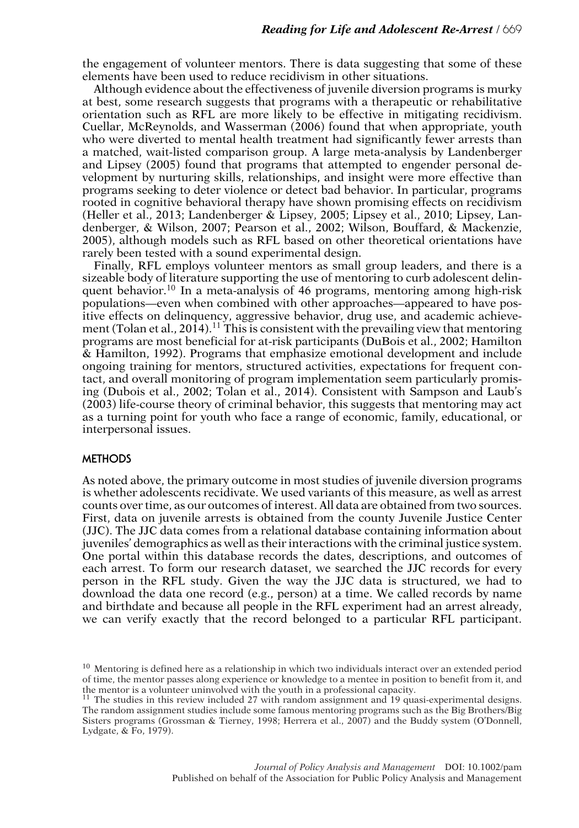the engagement of volunteer mentors. There is data suggesting that some of these elements have been used to reduce recidivism in other situations.

Although evidence about the effectiveness of juvenile diversion programs is murky at best, some research suggests that programs with a therapeutic or rehabilitative orientation such as RFL are more likely to be effective in mitigating recidivism. Cuellar, McReynolds, and Wasserman (2006) found that when appropriate, youth who were diverted to mental health treatment had significantly fewer arrests than a matched, wait-listed comparison group. A large meta-analysis by Landenberger and Lipsey (2005) found that programs that attempted to engender personal development by nurturing skills, relationships, and insight were more effective than programs seeking to deter violence or detect bad behavior. In particular, programs rooted in cognitive behavioral therapy have shown promising effects on recidivism (Heller et al., 2013; Landenberger & Lipsey, 2005; Lipsey et al., 2010; Lipsey, Landenberger, & Wilson, 2007; Pearson et al., 2002; Wilson, Bouffard, & Mackenzie, 2005), although models such as RFL based on other theoretical orientations have rarely been tested with a sound experimental design.

Finally, RFL employs volunteer mentors as small group leaders, and there is a sizeable body of literature supporting the use of mentoring to curb adolescent delinquent behavior.<sup>10</sup> In a meta-analysis of 46 programs, mentoring among high-risk populations—even when combined with other approaches—appeared to have positive effects on delinquency, aggressive behavior, drug use, and academic achievement (Tolan et al., 2014).<sup>11</sup> This is consistent with the prevailing view that mentoring programs are most beneficial for at-risk participants (DuBois et al., 2002; Hamilton & Hamilton, 1992). Programs that emphasize emotional development and include ongoing training for mentors, structured activities, expectations for frequent contact, and overall monitoring of program implementation seem particularly promising (Dubois et al., 2002; Tolan et al., 2014). Consistent with Sampson and Laub's (2003) life-course theory of criminal behavior, this suggests that mentoring may act as a turning point for youth who face a range of economic, family, educational, or interpersonal issues.

## **METHODS**

As noted above, the primary outcome in most studies of juvenile diversion programs is whether adolescents recidivate. We used variants of this measure, as well as arrest counts over time, as our outcomes of interest. All data are obtained from two sources. First, data on juvenile arrests is obtained from the county Juvenile Justice Center (JJC). The JJC data comes from a relational database containing information about juveniles' demographics as well as their interactions with the criminal justice system. One portal within this database records the dates, descriptions, and outcomes of each arrest. To form our research dataset, we searched the JJC records for every person in the RFL study. Given the way the JJC data is structured, we had to download the data one record (e.g., person) at a time. We called records by name and birthdate and because all people in the RFL experiment had an arrest already, we can verify exactly that the record belonged to a particular RFL participant.

 $10$  Mentoring is defined here as a relationship in which two individuals interact over an extended period of time, the mentor passes along experience or knowledge to a mentee in position to benefit from it, and the mentor is a volunteer uninvolved with the youth in a professional capacity.

<sup>&</sup>lt;sup>11</sup> The studies in this review included 27 with random assignment and  $19$  quasi-experimental designs. The random assignment studies include some famous mentoring programs such as the Big Brothers/Big Sisters programs (Grossman & Tierney, 1998; Herrera et al., 2007) and the Buddy system (O'Donnell, Lydgate, & Fo, 1979).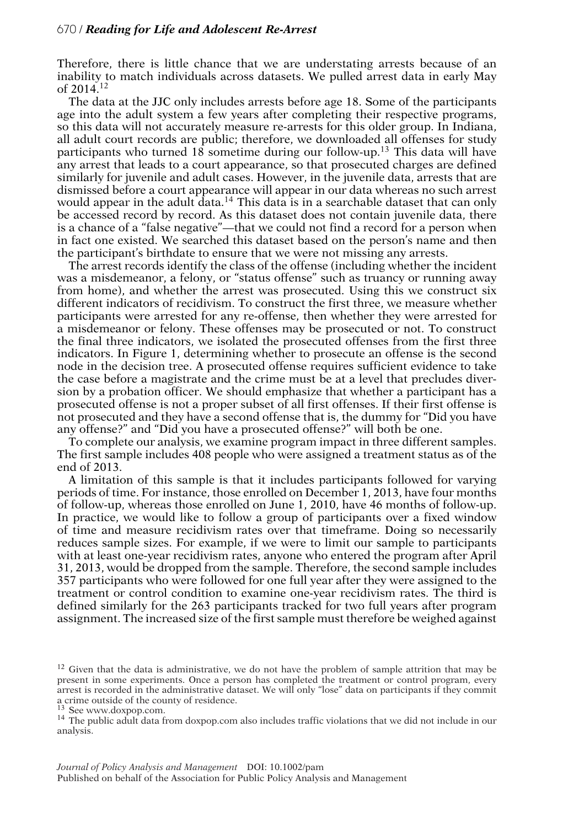Therefore, there is little chance that we are understating arrests because of an inability to match individuals across datasets. We pulled arrest data in early May of  $2014.<sup>12</sup>$ 

The data at the JJC only includes arrests before age 18. Some of the participants age into the adult system a few years after completing their respective programs, so this data will not accurately measure re-arrests for this older group. In Indiana, all adult court records are public; therefore, we downloaded all offenses for study participants who turned 18 sometime during our follow-up.<sup>13</sup> This data will have any arrest that leads to a court appearance, so that prosecuted charges are defined similarly for juvenile and adult cases. However, in the juvenile data, arrests that are dismissed before a court appearance will appear in our data whereas no such arrest would appear in the adult  $\hat{d}$  data.<sup>14</sup> This data is in a searchable dataset that can only be accessed record by record. As this dataset does not contain juvenile data, there is a chance of a "false negative"—that we could not find a record for a person when in fact one existed. We searched this dataset based on the person's name and then the participant's birthdate to ensure that we were not missing any arrests.

The arrest records identify the class of the offense (including whether the incident was a misdemeanor, a felony, or "status offense" such as truancy or running away from home), and whether the arrest was prosecuted. Using this we construct six different indicators of recidivism. To construct the first three, we measure whether participants were arrested for any re-offense, then whether they were arrested for a misdemeanor or felony. These offenses may be prosecuted or not. To construct the final three indicators, we isolated the prosecuted offenses from the first three indicators. In Figure 1, determining whether to prosecute an offense is the second node in the decision tree. A prosecuted offense requires sufficient evidence to take the case before a magistrate and the crime must be at a level that precludes diversion by a probation officer. We should emphasize that whether a participant has a prosecuted offense is not a proper subset of all first offenses. If their first offense is not prosecuted and they have a second offense that is, the dummy for "Did you have any offense?" and "Did you have a prosecuted offense?" will both be one.

To complete our analysis, we examine program impact in three different samples. The first sample includes 408 people who were assigned a treatment status as of the end of 2013.

A limitation of this sample is that it includes participants followed for varying periods of time. For instance, those enrolled on December 1, 2013, have four months of follow-up, whereas those enrolled on June 1, 2010, have 46 months of follow-up. In practice, we would like to follow a group of participants over a fixed window of time and measure recidivism rates over that timeframe. Doing so necessarily reduces sample sizes. For example, if we were to limit our sample to participants with at least one-year recidivism rates, anyone who entered the program after April 31, 2013, would be dropped from the sample. Therefore, the second sample includes 357 participants who were followed for one full year after they were assigned to the treatment or control condition to examine one-year recidivism rates. The third is defined similarly for the 263 participants tracked for two full years after program assignment. The increased size of the first sample must therefore be weighed against

 $12$  Given that the data is administrative, we do not have the problem of sample attrition that may be present in some experiments. Once a person has completed the treatment or control program, every arrest is recorded in the administrative dataset. We will only "lose" data on participants if they commit a crime outside of the county of residence.<br><sup>13</sup> See www.doxpop.com.

<sup>&</sup>lt;sup>14</sup> The public adult data from doxpop.com also includes traffic violations that we did not include in our analysis.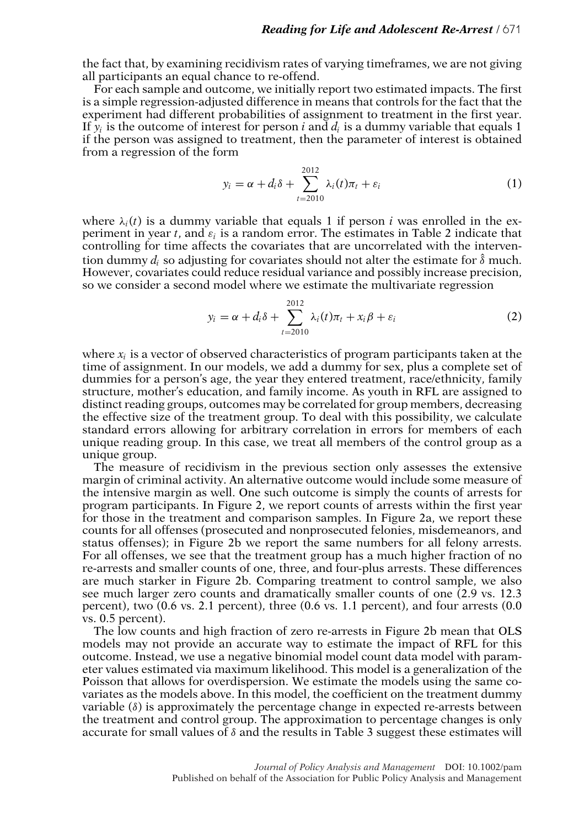the fact that, by examining recidivism rates of varying timeframes, we are not giving all participants an equal chance to re-offend.

For each sample and outcome, we initially report two estimated impacts. The first is a simple regression-adjusted difference in means that controls for the fact that the experiment had different probabilities of assignment to treatment in the first year. If  $y_i$  is the outcome of interest for person *i* and  $d_i$  is a dummy variable that equals 1 if the person was assigned to treatment, then the parameter of interest is obtained from a regression of the form

$$
y_i = \alpha + d_i \delta + \sum_{t=2010}^{2012} \lambda_i(t) \pi_t + \varepsilon_i
$$
 (1)

where  $\lambda_i(t)$  is a dummy variable that equals 1 if person *i* was enrolled in the experiment in year *t*, and  $\varepsilon_i$  is a random error. The estimates in Table 2 indicate that controlling for time affects the covariates that are uncorrelated with the intervention dummy  $d_i$  so adjusting for covariates should not alter the estimate for  $\hat{\delta}$  much. However, covariates could reduce residual variance and possibly increase precision, so we consider a second model where we estimate the multivariate regression

$$
y_i = \alpha + d_i \delta + \sum_{t=2010}^{2012} \lambda_i(t) \pi_t + x_i \beta + \varepsilon_i
$$
 (2)

where  $x_i$  is a vector of observed characteristics of program participants taken at the time of assignment. In our models, we add a dummy for sex, plus a complete set of dummies for a person's age, the year they entered treatment, race/ethnicity, family structure, mother's education, and family income. As youth in RFL are assigned to distinct reading groups, outcomes may be correlated for group members, decreasing the effective size of the treatment group. To deal with this possibility, we calculate standard errors allowing for arbitrary correlation in errors for members of each unique reading group. In this case, we treat all members of the control group as a unique group.

The measure of recidivism in the previous section only assesses the extensive margin of criminal activity. An alternative outcome would include some measure of the intensive margin as well. One such outcome is simply the counts of arrests for program participants. In Figure 2, we report counts of arrests within the first year for those in the treatment and comparison samples. In Figure 2a, we report these counts for all offenses (prosecuted and nonprosecuted felonies, misdemeanors, and status offenses); in Figure 2b we report the same numbers for all felony arrests. For all offenses, we see that the treatment group has a much higher fraction of no re-arrests and smaller counts of one, three, and four-plus arrests. These differences are much starker in Figure 2b. Comparing treatment to control sample, we also see much larger zero counts and dramatically smaller counts of one (2.9 vs. 12.3 percent), two (0.6 vs. 2.1 percent), three (0.6 vs. 1.1 percent), and four arrests (0.0 vs. 0.5 percent).

The low counts and high fraction of zero re-arrests in Figure 2b mean that OLS models may not provide an accurate way to estimate the impact of RFL for this outcome. Instead, we use a negative binomial model count data model with parameter values estimated via maximum likelihood. This model is a generalization of the Poisson that allows for overdispersion. We estimate the models using the same covariates as the models above. In this model, the coefficient on the treatment dummy variable  $(\delta)$  is approximately the percentage change in expected re-arrests between the treatment and control group. The approximation to percentage changes is only accurate for small values of  $\delta$  and the results in Table 3 suggest these estimates will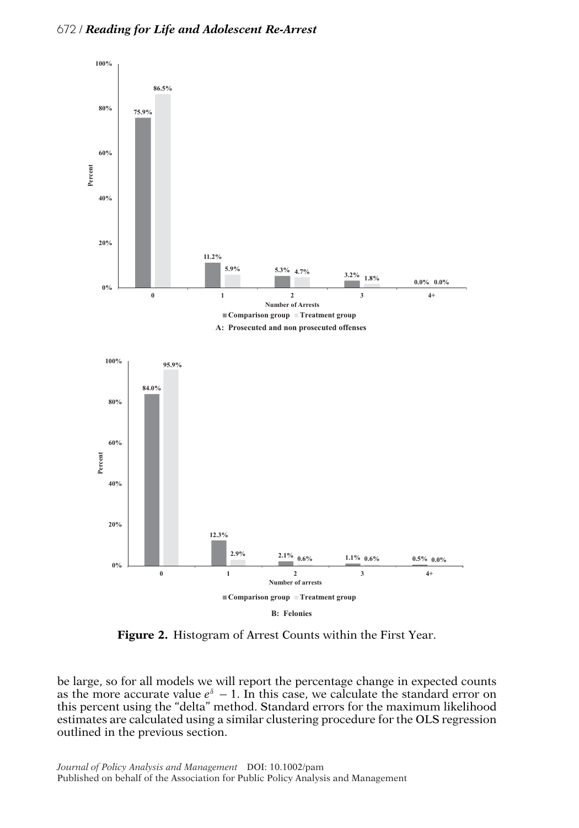

**Figure 2.** Histogram of Arrest Counts within the First Year.

be large, so for all models we will report the percentage change in expected counts as the more accurate value  $e^{\delta}$  − 1. In this case, we calculate the standard error on this percent using the "delta" method. Standard errors for the maximum likelihood estimates are calculated using a similar clustering procedure for the OLS regression outlined in the previous section.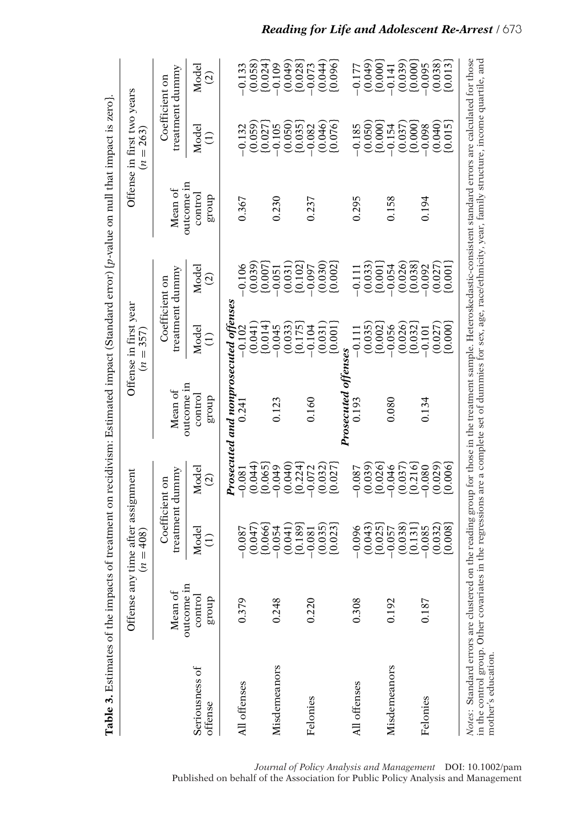|                           | Offense any                     | time after assignment<br>$(n = 408)$ |                                   |                                       | Offense in first year<br>$(n = 357)$ |                                   |                                 | Offense in first two years<br>$(n = 263)$                                |                                    |
|---------------------------|---------------------------------|--------------------------------------|-----------------------------------|---------------------------------------|--------------------------------------|-----------------------------------|---------------------------------|--------------------------------------------------------------------------|------------------------------------|
|                           | Mean of                         |                                      | treatment dummy<br>Coefficient on | Mean of                               |                                      | treatment dummy<br>Coefficient on | Mean of                         |                                                                          | treatment dummy<br>Coefficient on  |
| Seriousness of<br>offense | outcome in<br>control<br>dno.18 | Model<br>Ξ                           | Model<br>$\widehat{c}$            | outcome in<br>control<br>dno.fa       | Model<br>$\widehat{\Xi}$             | Model<br>$\widehat{\infty}$       | outcome in<br>control<br>dno.få | Model<br>$\widehat{\Xi}$                                                 | Model<br>$\widehat{\circ}$         |
|                           |                                 |                                      |                                   | Prosecuted and nonprosecuted offenses |                                      |                                   |                                 |                                                                          |                                    |
| All offenses              | 0.379                           | (0.047)<br>$-0.087$                  | (0.044)<br>$-0.081$               | 0.24                                  | (0.041)<br>$-0.102$                  | (0.039)<br>0.106                  | 0.367                           | (0.059)<br>$-0.132$                                                      | $(0.058)$<br>$[0.024]$<br>$-0.133$ |
| Misdemeanors              | 0.248                           | [0.066]<br>$-0.054$                  | [0.065]<br>$-0.049$               | 0.123                                 | [0.014]<br>$-0.045$                  | [0.007]<br>$-0.051$               | 0.230                           | [0.027]<br>$-0.105$                                                      | $-0.109$                           |
|                           |                                 | [0.189]<br>(0.041)                   | (0.040)<br>[0.224]                |                                       | (0.033)<br>[0.175]                   | (0.031)<br>[0.102]                |                                 | (0.050)<br>[0.035]                                                       | (0.049)<br>[0.028]                 |
| Felonies                  | 0.220                           | $-0.081$                             | $-0.072$                          | 0.160                                 | $-0.104$                             | $-0.097$                          | 0.237                           | $-0.082$                                                                 | $-0.073$                           |
|                           |                                 | (0.035)<br>[0.023]                   | (0.032)<br>[0.027]                |                                       | [0.001]<br>(0.031)                   | (0.030)<br>[0.002]                |                                 | (0.046)<br>[0.076]                                                       | (0.044)<br>[0.096]                 |
|                           |                                 |                                      |                                   | Prosecuted                            |                                      |                                   |                                 |                                                                          |                                    |
| All offenses              | 0.308                           | (0.043)<br>$-0.096$                  | (0.039)<br>$-0.087$               | 0.193                                 | (0.035)<br>$-0.111$                  | (0.033)<br>$-0.111$               | 0.295                           | (0.050)<br>$-0.185$                                                      | (0.049)<br>$-0.177$                |
|                           |                                 | [0.025]                              | [0.026]                           |                                       | [0.002]                              | [0.001]                           |                                 | [0.000]                                                                  | [0.000]                            |
| Misdemeanors              | 0.192                           | $-0.057$                             | $-0.046$                          | 0.080                                 | $-0.056$                             | $-0.054$                          | 0.158                           | $-0.154$                                                                 | $-0.141$                           |
|                           |                                 | (0.038)                              | (0.037)                           |                                       | (0.026)                              | (0.026)                           |                                 |                                                                          | (0.039)                            |
| Felonies                  | 0.187                           | [0.131]<br>$-0.085$                  | [0.216]<br>$-0.080$               | 0.134                                 | [0.032]<br>$-0.101$                  | [0.038]<br>$-0.092$               | 0.194                           | $\begin{array}{c} (0.037) \\ [0.000] \\ [-0.098] \\[-0.098] \end{array}$ | [0.000]<br>$-0.095$                |
|                           |                                 | (0.032)                              | (0.029)                           |                                       | (0.027)                              | (0.027)                           |                                 |                                                                          |                                    |
|                           |                                 | [0.008]                              | [0.006]                           |                                       | [0.000]                              | [0.001]                           |                                 | $(0.040)$<br>$[0.015]$                                                   | $(0.038)$<br>$[0.013]$             |

*Journal of Policy Analysis and Management* DOI: 10.1002/pam Published on behalf of the Association for Public Policy Analysis and Management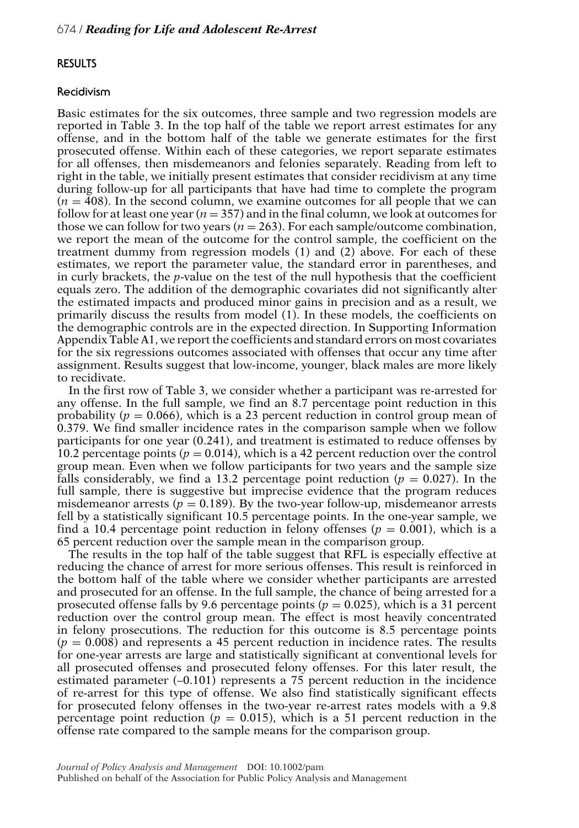# **RESULTS**

### **Recidivism**

Basic estimates for the six outcomes, three sample and two regression models are reported in Table 3. In the top half of the table we report arrest estimates for any offense, and in the bottom half of the table we generate estimates for the first prosecuted offense. Within each of these categories, we report separate estimates for all offenses, then misdemeanors and felonies separately. Reading from left to right in the table, we initially present estimates that consider recidivism at any time during follow-up for all participants that have had time to complete the program  $(n = 408)$ . In the second column, we examine outcomes for all people that we can follow for at least one year ( $n = 357$ ) and in the final column, we look at outcomes for those we can follow for two years  $(n = 263)$ . For each sample/outcome combination, we report the mean of the outcome for the control sample, the coefficient on the treatment dummy from regression models (1) and (2) above. For each of these estimates, we report the parameter value, the standard error in parentheses, and in curly brackets, the *p*-value on the test of the null hypothesis that the coefficient equals zero. The addition of the demographic covariates did not significantly alter the estimated impacts and produced minor gains in precision and as a result, we primarily discuss the results from model (1). In these models, the coefficients on the demographic controls are in the expected direction. In Supporting Information Appendix Table A1, we report the coefficients and standard errors on most covariates for the six regressions outcomes associated with offenses that occur any time after assignment. Results suggest that low-income, younger, black males are more likely to recidivate.

In the first row of Table 3, we consider whether a participant was re-arrested for any offense. In the full sample, we find an 8.7 percentage point reduction in this probability ( $p = 0.066$ ), which is a 23 percent reduction in control group mean of 0.379. We find smaller incidence rates in the comparison sample when we follow participants for one year (0.241), and treatment is estimated to reduce offenses by 10.2 percentage points ( $p = 0.014$ ), which is a 42 percent reduction over the control group mean. Even when we follow participants for two years and the sample size falls considerably, we find a 13.2 percentage point reduction  $(p = 0.027)$ . In the full sample, there is suggestive but imprecise evidence that the program reduces misdemeanor arrests ( $p = 0.189$ ). By the two-year follow-up, misdemeanor arrests fell by a statistically significant 10.5 percentage points. In the one-year sample, we find a 10.4 percentage point reduction in felony offenses ( $p = 0.001$ ), which is a 65 percent reduction over the sample mean in the comparison group.

The results in the top half of the table suggest that RFL is especially effective at reducing the chance of arrest for more serious offenses. This result is reinforced in the bottom half of the table where we consider whether participants are arrested and prosecuted for an offense. In the full sample, the chance of being arrested for a prosecuted offense falls by 9.6 percentage points ( $p = 0.025$ ), which is a 31 percent reduction over the control group mean. The effect is most heavily concentrated in felony prosecutions. The reduction for this outcome is 8.5 percentage points  $(p = 0.008)$  and represents a 45 percent reduction in incidence rates. The results for one-year arrests are large and statistically significant at conventional levels for all prosecuted offenses and prosecuted felony offenses. For this later result, the estimated parameter  $(-0.101)$  represents a 75 percent reduction in the incidence of re-arrest for this type of offense. We also find statistically significant effects for prosecuted felony offenses in the two-year re-arrest rates models with a 9.8 percentage point reduction ( $p = 0.015$ ), which is a 51 percent reduction in the offense rate compared to the sample means for the comparison group.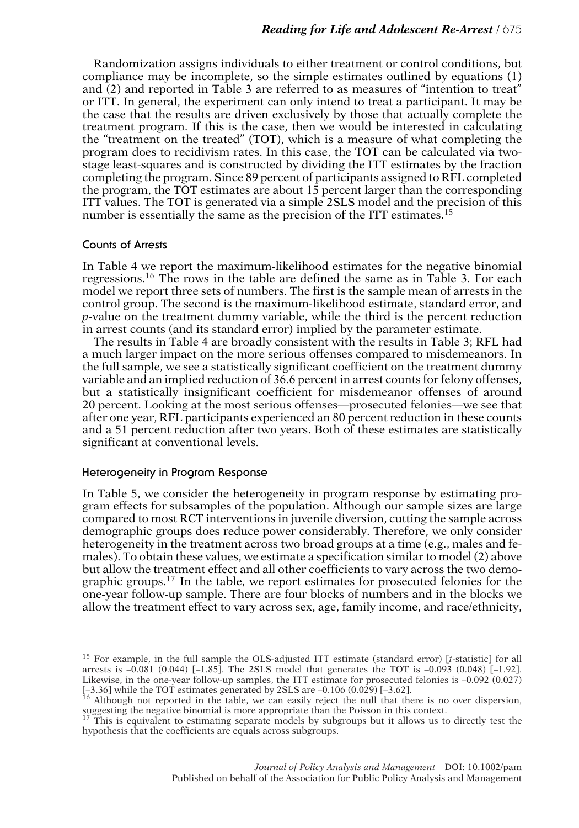Randomization assigns individuals to either treatment or control conditions, but compliance may be incomplete, so the simple estimates outlined by equations (1) and (2) and reported in Table 3 are referred to as measures of "intention to treat" or ITT. In general, the experiment can only intend to treat a participant. It may be the case that the results are driven exclusively by those that actually complete the treatment program. If this is the case, then we would be interested in calculating the "treatment on the treated" (TOT), which is a measure of what completing the program does to recidivism rates. In this case, the TOT can be calculated via twostage least-squares and is constructed by dividing the ITT estimates by the fraction completing the program. Since 89 percent of participants assigned to RFL completed the program, the TOT estimates are about 15 percent larger than the corresponding ITT values. The TOT is generated via a simple 2SLS model and the precision of this number is essentially the same as the precision of the ITT estimates.<sup>15</sup>

### **Counts of Arrests**

In Table 4 we report the maximum-likelihood estimates for the negative binomial regressions.<sup>16</sup> The rows in the table are defined the same as in Table 3. For each model we report three sets of numbers. The first is the sample mean of arrests in the control group. The second is the maximum-likelihood estimate, standard error, and *p*-value on the treatment dummy variable, while the third is the percent reduction in arrest counts (and its standard error) implied by the parameter estimate.

The results in Table 4 are broadly consistent with the results in Table 3; RFL had a much larger impact on the more serious offenses compared to misdemeanors. In the full sample, we see a statistically significant coefficient on the treatment dummy variable and an implied reduction of 36.6 percent in arrest counts for felony offenses, but a statistically insignificant coefficient for misdemeanor offenses of around 20 percent. Looking at the most serious offenses—prosecuted felonies—we see that after one year, RFL participants experienced an 80 percent reduction in these counts and a 51 percent reduction after two years. Both of these estimates are statistically significant at conventional levels.

## **Heterogeneity in Program Response**

In Table 5, we consider the heterogeneity in program response by estimating program effects for subsamples of the population. Although our sample sizes are large compared to most RCT interventions in juvenile diversion, cutting the sample across demographic groups does reduce power considerably. Therefore, we only consider heterogeneity in the treatment across two broad groups at a time (e.g., males and females). To obtain these values, we estimate a specification similar to model (2) above but allow the treatment effect and all other coefficients to vary across the two demographic groups.<sup>17</sup> In the table, we report estimates for prosecuted felonies for the one-year follow-up sample. There are four blocks of numbers and in the blocks we allow the treatment effect to vary across sex, age, family income, and race/ethnicity,

<sup>15</sup> For example, in the full sample the OLS-adjusted ITT estimate (standard error) [*t*-statistic] for all arrests is  $-0.081$  (0.044) [-1.85]. The 2SLS model that generates the TOT is  $-0.093$  (0.048) [-1.92]. Likewise, in the one-year follow-up samples, the ITT estimate for prosecuted felonies is –0.092 (0.027) [-3.36] while the TOT estimates generated by 2SLS are -0.106 (0.029) [-3.62].<br><sup>16</sup> Although not reported in the table, we can easily reject the null that there is no over dispersion,

suggesting the negative binomial is more appropriate than the Poisson in this context.<br><sup>17</sup> This is equivalent to estimating separate models by subgroups but it allows us to directly test the

hypothesis that the coefficients are equals across subgroups.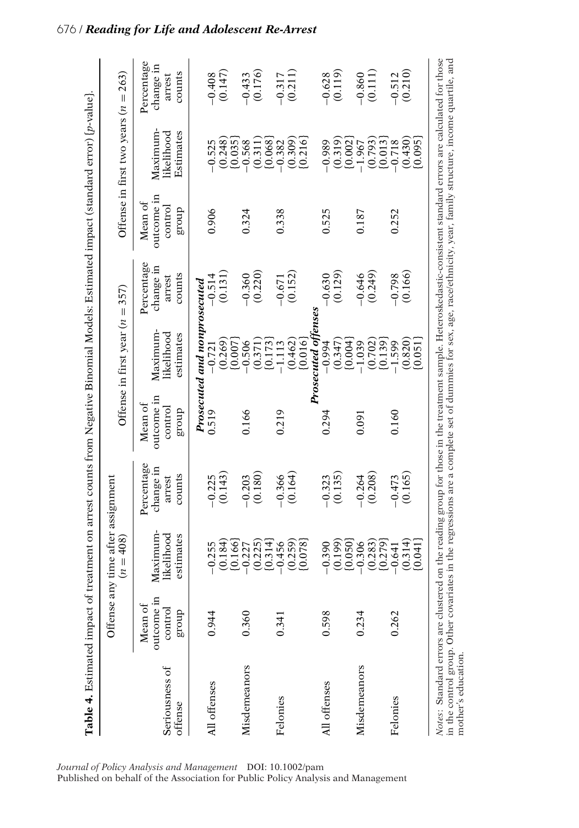|                                                                                                                                                                                                                                                                                                                                                               |                       | Offense any time after assignment<br>$= 408$<br>$\tilde{z}$ |                               |                       | Offense in first year $(n = 357)$ |                               |                       | Offense in first two years $(n = 263)$ |                               |
|---------------------------------------------------------------------------------------------------------------------------------------------------------------------------------------------------------------------------------------------------------------------------------------------------------------------------------------------------------------|-----------------------|-------------------------------------------------------------|-------------------------------|-----------------------|-----------------------------------|-------------------------------|-----------------------|----------------------------------------|-------------------------------|
|                                                                                                                                                                                                                                                                                                                                                               | outcome in<br>Mean of |                                                             | Percentage                    | outcome in<br>Mean of | Maximum                           | Percentage                    | outcome in<br>Mean of | Maximum-                               | Percentage                    |
| Seriousness of<br>ottense                                                                                                                                                                                                                                                                                                                                     | control<br>dno.fa     | Maximum-<br>likelihood<br>estimates                         | change in<br>counts<br>arrest | control<br>dno.fa     | likelihood<br>estimates           | change in<br>counts<br>arrest | control<br>dno.fa     | Estimates<br>likelihood                | change in<br>counts<br>arrest |
|                                                                                                                                                                                                                                                                                                                                                               |                       |                                                             |                               |                       | Prosecuted and nonprosecuted      |                               |                       |                                        |                               |
| All offenses                                                                                                                                                                                                                                                                                                                                                  | 0.944                 | $-0.255$                                                    | $-0.225$                      | 0.519                 | $-0.721$                          | $-0.514$                      | 0.906                 | $-0.525$                               | $-0.408$                      |
|                                                                                                                                                                                                                                                                                                                                                               |                       | (0.184)<br>[0.166]                                          | (0.143)                       |                       | (0.269)<br>[0.007]                | (0.131)                       |                       | (0.248)<br>[0.035]                     | (0.147)                       |
| Misdemeanors                                                                                                                                                                                                                                                                                                                                                  | 0.360                 | $-0.227$                                                    | $-0.203$                      | 0.166                 | $-0.506$                          | $-0.360$                      | 0.324                 | $-0.568$                               | $-0.433$                      |
|                                                                                                                                                                                                                                                                                                                                                               |                       | (0.225)<br>[0.314]                                          | (0.180)                       |                       | (0.371)<br>[0.173]                | (0.220)                       |                       | [0.068]<br>(0.311)                     | (0.176)                       |
| Felonies                                                                                                                                                                                                                                                                                                                                                      | 0.341                 | $-0.456$                                                    | $-0.366$                      | 0.219                 | $-1.113$                          | $-0.671$                      | 0.338                 | $-0.382$                               | $-0.317$                      |
|                                                                                                                                                                                                                                                                                                                                                               |                       | (0.259)<br>(820.0)                                          | (0.164)                       |                       | (0.462)<br>[0.016]                | (0.152)                       |                       | (0.309)<br>[0.216]                     | (0.211)                       |
|                                                                                                                                                                                                                                                                                                                                                               |                       |                                                             |                               |                       | <b>Prosecuted offense.</b>        |                               |                       |                                        |                               |
| All offenses                                                                                                                                                                                                                                                                                                                                                  | 0.598                 | $-0.390$                                                    | $-0.323$                      | 0.294                 | $-0.994$                          | $-0.630$                      | 0.525                 | $-0.989$                               | $-0.628$                      |
|                                                                                                                                                                                                                                                                                                                                                               |                       | (0.199)<br>[0.050]                                          | (0.135)                       |                       | (0.347)<br>[0.004]                | (0.129)                       |                       | $(0.319)$<br>$[0.002]$                 | (0.119)                       |
| Misdemeanors                                                                                                                                                                                                                                                                                                                                                  | 0.234                 | $-0.306$                                                    | $-0.264$                      | 0.091                 | $-1.039$                          | $-0.646$                      | 0.187                 | $-1.967$                               | $-0.860$                      |
|                                                                                                                                                                                                                                                                                                                                                               |                       | (0.283)<br>[0.279]                                          | (0.208)                       |                       | (0.702)<br>[0.139]                | (0.249)                       |                       | (0.793)<br>[0.013]                     | (0.111)                       |
| Felonies                                                                                                                                                                                                                                                                                                                                                      | 0.262                 | $-0.641$                                                    | $-0.473$                      | 0.160                 | $-1.599$                          | $-0.798$                      | 0.252                 | $-0.718$                               | $-0.512$                      |
|                                                                                                                                                                                                                                                                                                                                                               |                       | (0.314)<br>[0.041]                                          | (0.165)                       |                       | (0.820)<br>[0.051]                | (0.166)                       |                       | (0.430)<br>[0.095]                     | (0.210)                       |
| Notes: Standard errors are clustered on the reading group for those in the treatment sample. Heteroskedastic-consistent standard errors are calculated for those<br>in the control group. Other covariates in the regressions are a complete set of dummies for sex, age, race/ethnicity, year, family structure, income quartile, and<br>mother's education. |                       |                                                             |                               |                       |                                   |                               |                       |                                        |                               |

*Journal of Policy Analysis and Management* DOI: 10.1002/pam

Published on behalf of the Association for Public Policy Analysis and Management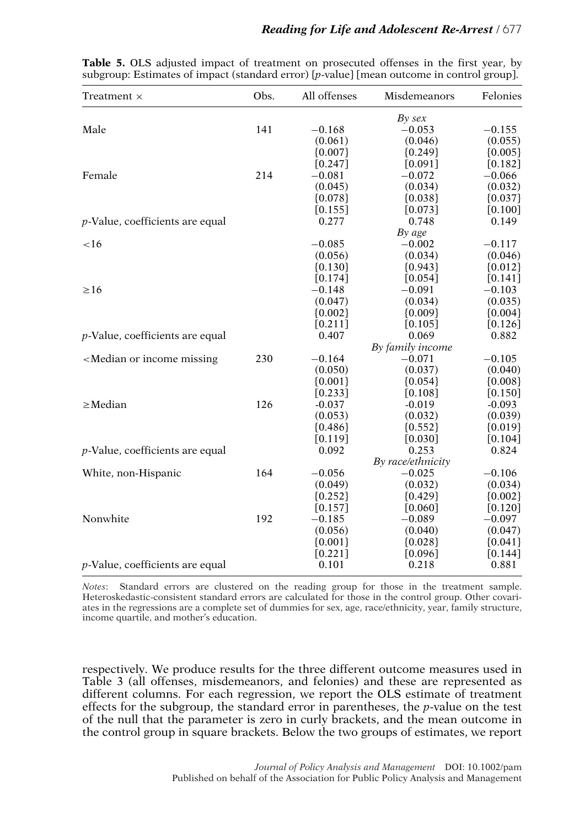| Treatment ×                                                                                                                                         | Obs. | All offenses         | Misdemeanors         | Felonies               |
|-----------------------------------------------------------------------------------------------------------------------------------------------------|------|----------------------|----------------------|------------------------|
|                                                                                                                                                     |      |                      | By sex               |                        |
| Male                                                                                                                                                | 141  | $-0.168$             | $-0.053$             | $-0.155$               |
|                                                                                                                                                     |      | (0.061)              | (0.046)              | (0.055)                |
|                                                                                                                                                     |      | ${0.007}$            | ${0.249}$            | ${0.005}$              |
|                                                                                                                                                     |      | $[0.247]$            | $[0.091]$            | $[0.182]$              |
| Female                                                                                                                                              | 214  | $-0.081$             | $-0.072$             | $-0.066$               |
|                                                                                                                                                     |      | (0.045)              | (0.034)              | (0.032)                |
|                                                                                                                                                     |      | ${0.078}$            | ${0.038}$            | ${0.037}$              |
|                                                                                                                                                     |      | [0.155]              | [0.073]              | $[0.100]$              |
| $p$ -Value, coefficients are equal                                                                                                                  |      | 0.277                | 0.748                | 0.149                  |
|                                                                                                                                                     |      |                      | By age               |                        |
| $<$ 16                                                                                                                                              |      | $-0.085$             | $-0.002$             | $-0.117$               |
|                                                                                                                                                     |      | (0.056)              | (0.034)              | (0.046)                |
|                                                                                                                                                     |      | ${0.130}$            | ${0.943}$            | ${0.012}$              |
|                                                                                                                                                     |      | $[0.174]$            | $[0.054]$            | $[0.141]$              |
| $\geq 16$                                                                                                                                           |      | $-0.148$             | $-0.091$             | $-0.103$               |
|                                                                                                                                                     |      | (0.047)              | (0.034)              | (0.035)                |
|                                                                                                                                                     |      | ${0.002}$            | ${0.009}$            | ${0.004}$              |
|                                                                                                                                                     |      | [0.211]              | [0.105]              | [0.126]                |
| $p$ -Value, coefficients are equal                                                                                                                  |      | 0.407                | 0.069                | 0.882                  |
|                                                                                                                                                     |      |                      | By family income     |                        |
| <median income="" missing<="" or="" td=""><td>230</td><td><math>-0.164</math></td><td><math>-0.071</math></td><td><math>-0.105</math></td></median> | 230  | $-0.164$             | $-0.071$             | $-0.105$               |
|                                                                                                                                                     |      | (0.050)              | (0.037)              | (0.040)                |
|                                                                                                                                                     |      | ${0.001}$            | ${0.054}$            | ${0.008}$              |
| $\geq$ Median                                                                                                                                       | 126  | [0.233]              | [0.108]              | [0.150]                |
|                                                                                                                                                     |      | $-0.037$             | $-0.019$             | $-0.093$               |
|                                                                                                                                                     |      | (0.053)              | (0.032)              | (0.039)                |
|                                                                                                                                                     |      | ${0.486}$<br>[0.119] | ${0.552}$<br>[0.030] | ${0.019}$<br>$[0.104]$ |
| $p$ -Value, coefficients are equal                                                                                                                  |      | 0.092                | 0.253                | 0.824                  |
|                                                                                                                                                     |      |                      | By race/ethnicity    |                        |
| White, non-Hispanic                                                                                                                                 | 164  | $-0.056$             | $-0.025$             | $-0.106$               |
|                                                                                                                                                     |      | (0.049)              | (0.032)              | (0.034)                |
|                                                                                                                                                     |      | ${0.252}$            | ${0.429}$            | ${0.002}$              |
|                                                                                                                                                     |      | [0.157]              | [0.060]              | [0.120]                |
| Nonwhite                                                                                                                                            | 192  | $-0.185$             | $-0.089$             | $-0.097$               |
|                                                                                                                                                     |      | (0.056)              | (0.040)              | (0.047)                |
|                                                                                                                                                     |      | ${0.001}$            | ${0.028}$            | ${0.041}$              |
|                                                                                                                                                     |      | $[0.221]$            | [0.096]              | $[0.144]$              |
| $p$ -Value, coefficients are equal                                                                                                                  |      | 0.101                | 0.218                | 0.881                  |
|                                                                                                                                                     |      |                      |                      |                        |

|  |  |  | Table 5. OLS adjusted impact of treatment on prosecuted offenses in the first year, by    |  |  |  |
|--|--|--|-------------------------------------------------------------------------------------------|--|--|--|
|  |  |  | subgroup: Estimates of impact (standard error) {p-value} [mean outcome in control group]. |  |  |  |

*Notes*: Standard errors are clustered on the reading group for those in the treatment sample. Heteroskedastic-consistent standard errors are calculated for those in the control group. Other covariates in the regressions are a complete set of dummies for sex, age, race/ethnicity, year, family structure, income quartile, and mother's education.

respectively. We produce results for the three different outcome measures used in Table 3 (all offenses, misdemeanors, and felonies) and these are represented as different columns. For each regression, we report the OLS estimate of treatment effects for the subgroup, the standard error in parentheses, the *p*-value on the test of the null that the parameter is zero in curly brackets, and the mean outcome in the control group in square brackets. Below the two groups of estimates, we report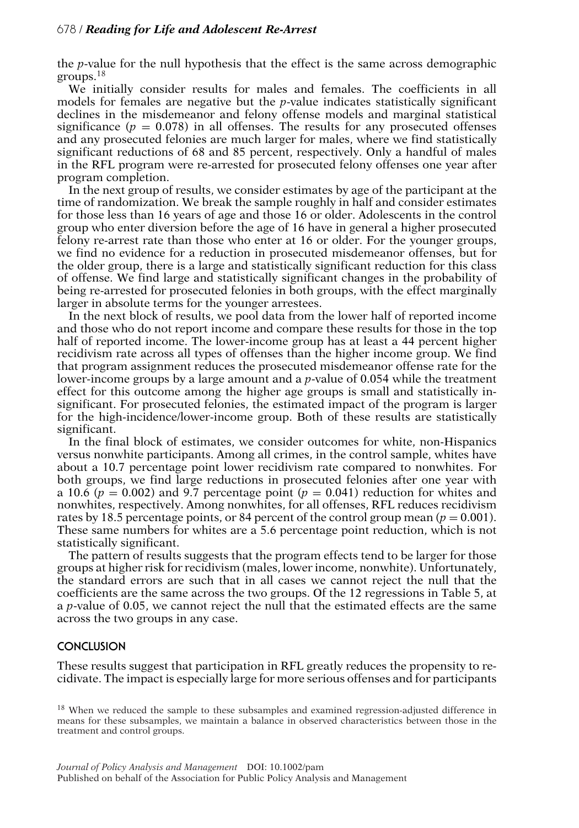the *p*-value for the null hypothesis that the effect is the same across demographic groups.<sup>18</sup>

We initially consider results for males and females. The coefficients in all models for females are negative but the *p*-value indicates statistically significant declines in the misdemeanor and felony offense models and marginal statistical significance  $(p = 0.078)$  in all offenses. The results for any prosecuted offenses and any prosecuted felonies are much larger for males, where we find statistically significant reductions of 68 and 85 percent, respectively. Only a handful of males in the RFL program were re-arrested for prosecuted felony offenses one year after program completion.

In the next group of results, we consider estimates by age of the participant at the time of randomization. We break the sample roughly in half and consider estimates for those less than 16 years of age and those 16 or older. Adolescents in the control group who enter diversion before the age of 16 have in general a higher prosecuted felony re-arrest rate than those who enter at 16 or older. For the younger groups, we find no evidence for a reduction in prosecuted misdemeanor offenses, but for the older group, there is a large and statistically significant reduction for this class of offense. We find large and statistically significant changes in the probability of being re-arrested for prosecuted felonies in both groups, with the effect marginally larger in absolute terms for the younger arrestees.

In the next block of results, we pool data from the lower half of reported income and those who do not report income and compare these results for those in the top half of reported income. The lower-income group has at least a 44 percent higher recidivism rate across all types of offenses than the higher income group. We find that program assignment reduces the prosecuted misdemeanor offense rate for the lower-income groups by a large amount and a *p*-value of 0.054 while the treatment effect for this outcome among the higher age groups is small and statistically insignificant. For prosecuted felonies, the estimated impact of the program is larger for the high-incidence/lower-income group. Both of these results are statistically significant.

In the final block of estimates, we consider outcomes for white, non-Hispanics versus nonwhite participants. Among all crimes, in the control sample, whites have about a 10.7 percentage point lower recidivism rate compared to nonwhites. For both groups, we find large reductions in prosecuted felonies after one year with a 10.6 ( $p = 0.002$ ) and 9.7 percentage point ( $p = 0.041$ ) reduction for whites and nonwhites, respectively. Among nonwhites, for all offenses, RFL reduces recidivism rates by 18.5 percentage points, or 84 percent of the control group mean  $(p = 0.001)$ . These same numbers for whites are a 5.6 percentage point reduction, which is not statistically significant.

The pattern of results suggests that the program effects tend to be larger for those groups at higher risk for recidivism (males, lower income, nonwhite). Unfortunately, the standard errors are such that in all cases we cannot reject the null that the coefficients are the same across the two groups. Of the 12 regressions in Table 5, at a *p*-value of 0.05, we cannot reject the null that the estimated effects are the same across the two groups in any case.

# **CONCLUSION**

These results suggest that participation in RFL greatly reduces the propensity to recidivate. The impact is especially large for more serious offenses and for participants

<sup>&</sup>lt;sup>18</sup> When we reduced the sample to these subsamples and examined regression-adjusted difference in means for these subsamples, we maintain a balance in observed characteristics between those in the treatment and control groups.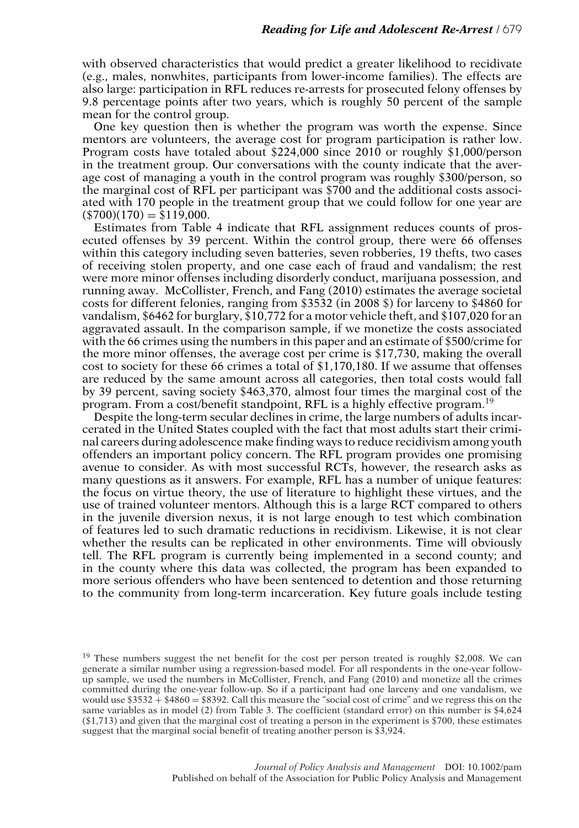with observed characteristics that would predict a greater likelihood to recidivate (e.g., males, nonwhites, participants from lower-income families). The effects are also large: participation in RFL reduces re-arrests for prosecuted felony offenses by 9.8 percentage points after two years, which is roughly 50 percent of the sample mean for the control group.

One key question then is whether the program was worth the expense. Since mentors are volunteers, the average cost for program participation is rather low. Program costs have totaled about \$224,000 since 2010 or roughly \$1,000/person in the treatment group. Our conversations with the county indicate that the average cost of managing a youth in the control program was roughly \$300/person, so the marginal cost of RFL per participant was \$700 and the additional costs associated with 170 people in the treatment group that we could follow for one year are  $($700)(170) = $119,000.$ 

Estimates from Table 4 indicate that RFL assignment reduces counts of prosecuted offenses by 39 percent. Within the control group, there were 66 offenses within this category including seven batteries, seven robberies, 19 thefts, two cases of receiving stolen property, and one case each of fraud and vandalism; the rest were more minor offenses including disorderly conduct, marijuana possession, and running away. McCollister, French, and Fang (2010) estimates the average societal costs for different felonies, ranging from \$3532 (in 2008 \$) for larceny to \$4860 for vandalism, \$6462 for burglary, \$10,772 for a motor vehicle theft, and \$107,020 for an aggravated assault. In the comparison sample, if we monetize the costs associated with the 66 crimes using the numbers in this paper and an estimate of \$500/crime for the more minor offenses, the average cost per crime is \$17,730, making the overall cost to society for these 66 crimes a total of \$1,170,180. If we assume that offenses are reduced by the same amount across all categories, then total costs would fall by 39 percent, saving society \$463,370, almost four times the marginal cost of the program. From a cost/benefit standpoint, RFL is a highly effective program.19

Despite the long-term secular declines in crime, the large numbers of adults incarcerated in the United States coupled with the fact that most adults start their criminal careers during adolescence make finding ways to reduce recidivism among youth offenders an important policy concern. The RFL program provides one promising avenue to consider. As with most successful RCTs, however, the research asks as many questions as it answers. For example, RFL has a number of unique features: the focus on virtue theory, the use of literature to highlight these virtues, and the use of trained volunteer mentors. Although this is a large RCT compared to others in the juvenile diversion nexus, it is not large enough to test which combination of features led to such dramatic reductions in recidivism. Likewise, it is not clear whether the results can be replicated in other environments. Time will obviously tell. The RFL program is currently being implemented in a second county; and in the county where this data was collected, the program has been expanded to more serious offenders who have been sentenced to detention and those returning to the community from long-term incarceration. Key future goals include testing

 $19$  These numbers suggest the net benefit for the cost per person treated is roughly \$2,008. We can generate a similar number using a regression-based model. For all respondents in the one-year followup sample, we used the numbers in McCollister, French, and Fang  $(2010)$  and monetize all the crimes committed during the one-year follow-up. So if a participant had one larceny and one vandalism, we would use  $$3532 + $4860 = $8392$ . Call this measure the "social cost of crime" and we regress this on the same variables as in model (2) from Table 3. The coefficient (standard error) on this number is \$4,624 (\$1,713) and given that the marginal cost of treating a person in the experiment is \$700, these estimates suggest that the marginal social benefit of treating another person is \$3,924.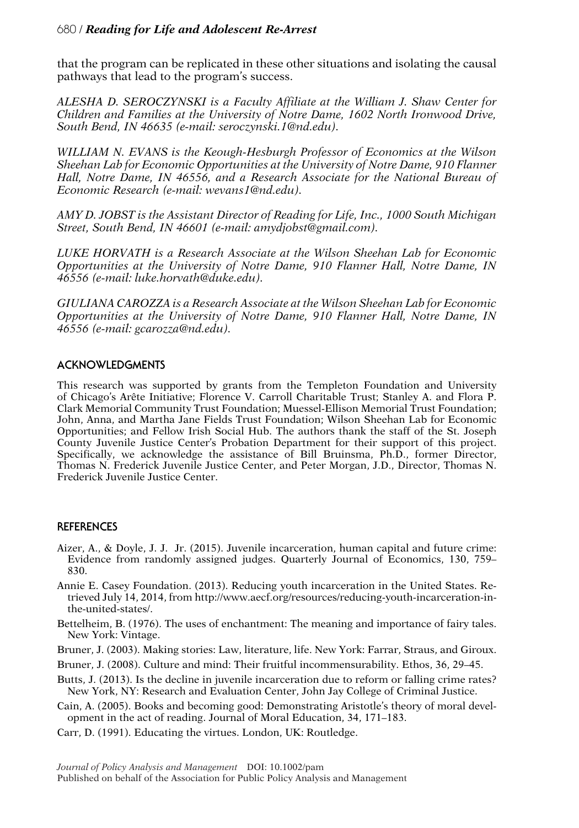that the program can be replicated in these other situations and isolating the causal pathways that lead to the program's success.

*ALESHA D. SEROCZYNSKI is a Faculty Affiliate at the William J. Shaw Center for Children and Families at the University of Notre Dame, 1602 North Ironwood Drive, South Bend, IN 46635 (e-mail: seroczynski.1@nd.edu).*

*WILLIAM N. EVANS is the Keough-Hesburgh Professor of Economics at the Wilson Sheehan Lab for Economic Opportunities at the University of Notre Dame, 910 Flanner Hall, Notre Dame, IN 46556, and a Research Associate for the National Bureau of Economic Research (e-mail: wevans1@nd.edu).*

*AMY D. JOBST is the Assistant Director of Reading for Life, Inc., 1000 South Michigan Street, South Bend, IN 46601 (e-mail: amydjobst@gmail.com).*

*LUKE HORVATH is a Research Associate at the Wilson Sheehan Lab for Economic Opportunities at the University of Notre Dame, 910 Flanner Hall, Notre Dame, IN 46556 (e-mail: luke.horvath@duke.edu).*

*GIULIANA CAROZZA is a Research Associate at the Wilson Sheehan Lab for Economic Opportunities at the University of Notre Dame, 910 Flanner Hall, Notre Dame, IN 46556 (e-mail: gcarozza@nd.edu).*

# **ACKNOWLEDGMENTS**

This research was supported by grants from the Templeton Foundation and University of Chicago's Arete Initiative; Florence V. Carroll Charitable Trust; Stanley A. and Flora P. ˆ Clark Memorial Community Trust Foundation; Muessel-Ellison Memorial Trust Foundation; John, Anna, and Martha Jane Fields Trust Foundation; Wilson Sheehan Lab for Economic Opportunities; and Fellow Irish Social Hub. The authors thank the staff of the St. Joseph County Juvenile Justice Center's Probation Department for their support of this project. Specifically, we acknowledge the assistance of Bill Bruinsma, Ph.D., former Director, Thomas N. Frederick Juvenile Justice Center, and Peter Morgan, J.D., Director, Thomas N. Frederick Juvenile Justice Center.

## **REFERENCES**

- Aizer, A., & Doyle, J. J. Jr. (2015). Juvenile incarceration, human capital and future crime: Evidence from randomly assigned judges. Quarterly Journal of Economics, 130, 759– 830.
- Annie E. Casey Foundation. (2013). Reducing youth incarceration in the United States. Retrieved July 14, 2014, from http://www.aecf.org/resources/reducing-youth-incarceration-inthe-united-states/.

Bettelheim, B. (1976). The uses of enchantment: The meaning and importance of fairy tales. New York: Vintage.

Bruner, J. (2003). Making stories: Law, literature, life. New York: Farrar, Straus, and Giroux.

Bruner, J. (2008). Culture and mind: Their fruitful incommensurability. Ethos, 36, 29–45.

Butts, J. (2013). Is the decline in juvenile incarceration due to reform or falling crime rates? New York, NY: Research and Evaluation Center, John Jay College of Criminal Justice.

Cain, A. (2005). Books and becoming good: Demonstrating Aristotle's theory of moral development in the act of reading. Journal of Moral Education, 34, 171–183.

Carr, D. (1991). Educating the virtues. London, UK: Routledge.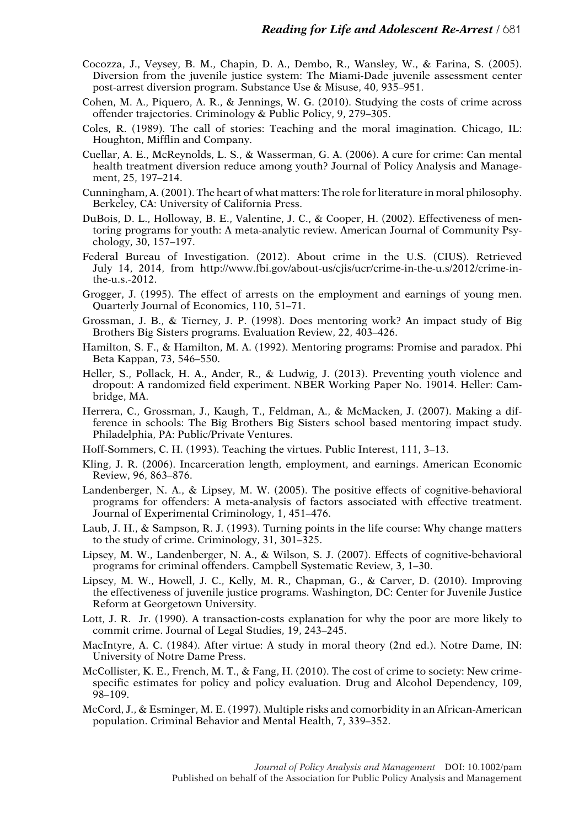- Cocozza, J., Veysey, B. M., Chapin, D. A., Dembo, R., Wansley, W., & Farina, S. (2005). Diversion from the juvenile justice system: The Miami-Dade juvenile assessment center post-arrest diversion program. Substance Use & Misuse, 40, 935–951.
- Cohen, M. A., Piquero, A. R., & Jennings, W. G. (2010). Studying the costs of crime across offender trajectories. Criminology & Public Policy, 9, 279–305.
- Coles, R. (1989). The call of stories: Teaching and the moral imagination. Chicago, IL: Houghton, Mifflin and Company.
- Cuellar, A. E., McReynolds, L. S., & Wasserman, G. A. (2006). A cure for crime: Can mental health treatment diversion reduce among youth? Journal of Policy Analysis and Management, 25, 197–214.
- Cunningham, A. (2001). The heart of what matters: The role for literature in moral philosophy. Berkeley, CA: University of California Press.
- DuBois, D. L., Holloway, B. E., Valentine, J. C., & Cooper, H. (2002). Effectiveness of mentoring programs for youth: A meta-analytic review. American Journal of Community Psychology, 30, 157–197.
- Federal Bureau of Investigation. (2012). About crime in the U.S. (CIUS). Retrieved July 14, 2014, from http://www.fbi.gov/about-us/cjis/ucr/crime-in-the-u.s/2012/crime-inthe-u.s.-2012.
- Grogger, J. (1995). The effect of arrests on the employment and earnings of young men. Quarterly Journal of Economics, 110, 51–71.
- Grossman, J. B., & Tierney, J. P. (1998). Does mentoring work? An impact study of Big Brothers Big Sisters programs. Evaluation Review, 22, 403–426.
- Hamilton, S. F., & Hamilton, M. A. (1992). Mentoring programs: Promise and paradox. Phi Beta Kappan, 73, 546–550.
- Heller, S., Pollack, H. A., Ander, R., & Ludwig, J. (2013). Preventing youth violence and dropout: A randomized field experiment. NBER Working Paper No. 19014. Heller: Cambridge, MA.
- Herrera, C., Grossman, J., Kaugh, T., Feldman, A., & McMacken, J. (2007). Making a difference in schools: The Big Brothers Big Sisters school based mentoring impact study. Philadelphia, PA: Public/Private Ventures.
- Hoff-Sommers, C. H. (1993). Teaching the virtues. Public Interest, 111, 3–13.
- Kling, J. R. (2006). Incarceration length, employment, and earnings. American Economic Review, 96, 863–876.
- Landenberger, N. A., & Lipsey, M. W. (2005). The positive effects of cognitive-behavioral programs for offenders: A meta-analysis of factors associated with effective treatment. Journal of Experimental Criminology, 1, 451–476.
- Laub, J. H., & Sampson, R. J. (1993). Turning points in the life course: Why change matters to the study of crime. Criminology, 31, 301–325.
- Lipsey, M. W., Landenberger, N. A., & Wilson, S. J. (2007). Effects of cognitive-behavioral programs for criminal offenders. Campbell Systematic Review, 3, 1–30.
- Lipsey, M. W., Howell, J. C., Kelly, M. R., Chapman, G., & Carver, D. (2010). Improving the effectiveness of juvenile justice programs. Washington, DC: Center for Juvenile Justice Reform at Georgetown University.
- Lott, J. R. Jr. (1990). A transaction-costs explanation for why the poor are more likely to commit crime. Journal of Legal Studies, 19, 243–245.
- MacIntyre, A. C. (1984). After virtue: A study in moral theory (2nd ed.). Notre Dame, IN: University of Notre Dame Press.
- McCollister, K. E., French, M. T., & Fang, H. (2010). The cost of crime to society: New crimespecific estimates for policy and policy evaluation. Drug and Alcohol Dependency, 109, 98–109.
- McCord, J., & Esminger, M. E. (1997). Multiple risks and comorbidity in an African-American population. Criminal Behavior and Mental Health, 7, 339–352.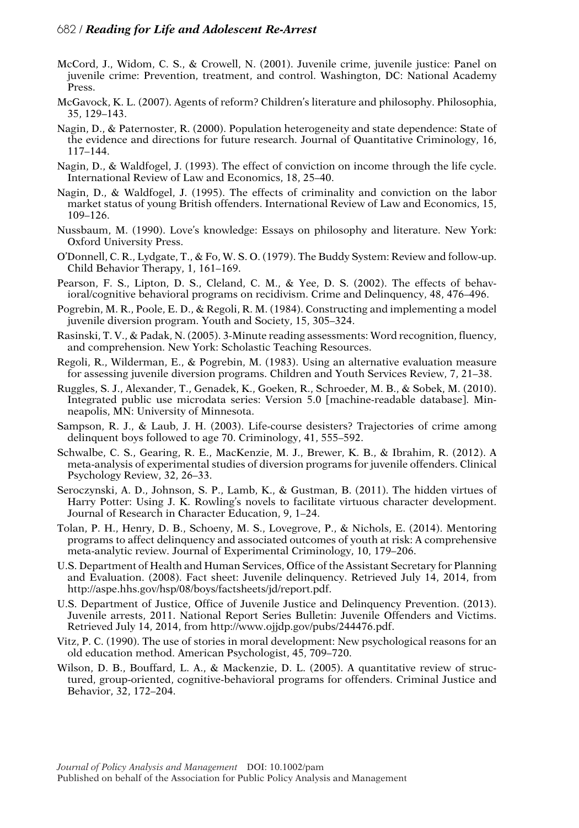- McCord, J., Widom, C. S., & Crowell, N. (2001). Juvenile crime, juvenile justice: Panel on juvenile crime: Prevention, treatment, and control. Washington, DC: National Academy Press.
- McGavock, K. L. (2007). Agents of reform? Children's literature and philosophy. Philosophia, 35, 129–143.
- Nagin, D., & Paternoster, R. (2000). Population heterogeneity and state dependence: State of the evidence and directions for future research. Journal of Quantitative Criminology, 16, 117–144.
- Nagin, D., & Waldfogel, J. (1993). The effect of conviction on income through the life cycle. International Review of Law and Economics, 18, 25–40.
- Nagin, D., & Waldfogel, J. (1995). The effects of criminality and conviction on the labor market status of young British offenders. International Review of Law and Economics, 15, 109–126.
- Nussbaum, M. (1990). Love's knowledge: Essays on philosophy and literature. New York: Oxford University Press.
- O'Donnell, C. R., Lydgate, T., & Fo, W. S. O. (1979). The Buddy System: Review and follow-up. Child Behavior Therapy, 1, 161–169.
- Pearson, F. S., Lipton, D. S., Cleland, C. M., & Yee, D. S. (2002). The effects of behavioral/cognitive behavioral programs on recidivism. Crime and Delinquency, 48, 476–496.
- Pogrebin, M. R., Poole, E. D., & Regoli, R. M. (1984). Constructing and implementing a model juvenile diversion program. Youth and Society, 15, 305–324.
- Rasinski, T. V., & Padak, N. (2005). 3-Minute reading assessments: Word recognition, fluency, and comprehension. New York: Scholastic Teaching Resources.
- Regoli, R., Wilderman, E., & Pogrebin, M. (1983). Using an alternative evaluation measure for assessing juvenile diversion programs. Children and Youth Services Review, 7, 21–38.
- Ruggles, S. J., Alexander, T., Genadek, K., Goeken, R., Schroeder, M. B., & Sobek, M. (2010). Integrated public use microdata series: Version 5.0 [machine-readable database]. Minneapolis, MN: University of Minnesota.
- Sampson, R. J., & Laub, J. H. (2003). Life-course desisters? Trajectories of crime among delinquent boys followed to age 70. Criminology, 41, 555–592.
- Schwalbe, C. S., Gearing, R. E., MacKenzie, M. J., Brewer, K. B., & Ibrahim, R. (2012). A meta-analysis of experimental studies of diversion programs for juvenile offenders. Clinical Psychology Review, 32, 26–33.
- Seroczynski, A. D., Johnson, S. P., Lamb, K., & Gustman, B. (2011). The hidden virtues of Harry Potter: Using J. K. Rowling's novels to facilitate virtuous character development. Journal of Research in Character Education, 9, 1–24.
- Tolan, P. H., Henry, D. B., Schoeny, M. S., Lovegrove, P., & Nichols, E. (2014). Mentoring programs to affect delinquency and associated outcomes of youth at risk: A comprehensive meta-analytic review. Journal of Experimental Criminology, 10, 179–206.
- U.S. Department of Health and Human Services, Office of the Assistant Secretary for Planning and Evaluation. (2008). Fact sheet: Juvenile delinquency. Retrieved July 14, 2014, from http://aspe.hhs.gov/hsp/08/boys/factsheets/jd/report.pdf.
- U.S. Department of Justice, Office of Juvenile Justice and Delinquency Prevention. (2013). Juvenile arrests, 2011. National Report Series Bulletin: Juvenile Offenders and Victims. Retrieved July 14, 2014, from http://www.ojjdp.gov/pubs/244476.pdf.
- Vitz, P. C. (1990). The use of stories in moral development: New psychological reasons for an old education method. American Psychologist, 45, 709–720.
- Wilson, D. B., Bouffard, L. A., & Mackenzie, D. L. (2005). A quantitative review of structured, group-oriented, cognitive-behavioral programs for offenders. Criminal Justice and Behavior, 32, 172–204.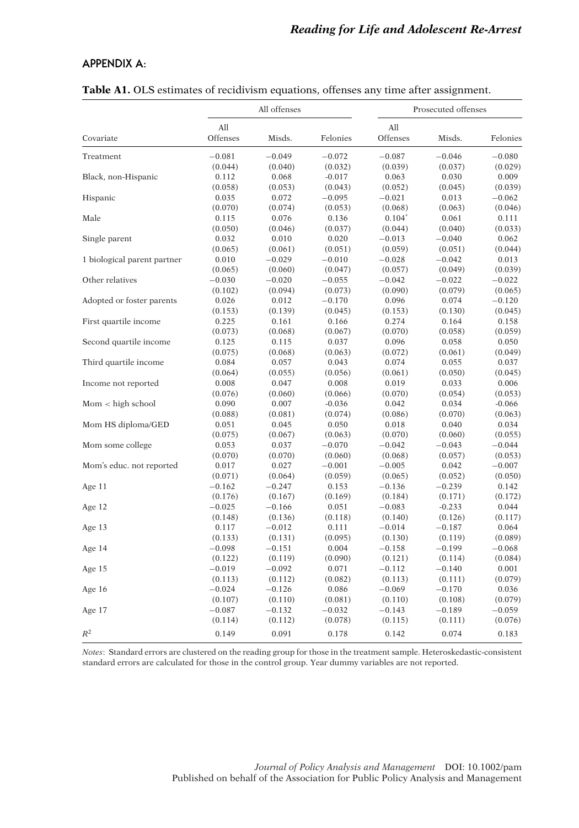# **APPENDIX A:**

|                             |                 | All offenses |                     | Prosecuted offenses |          |          |  |  |
|-----------------------------|-----------------|--------------|---------------------|---------------------|----------|----------|--|--|
| Covariate                   | All<br>Offenses | Misds.       | Felonies            | All<br>Offenses     | Misds.   | Felonies |  |  |
| Treatment                   | $-0.081$        | $-0.049$     | $-0.072$            | $-0.087$            | $-0.046$ | $-0.080$ |  |  |
|                             | (0.044)         | (0.040)      | (0.032)             | (0.039)             | (0.037)  | (0.029)  |  |  |
| Black, non-Hispanic         | 0.112           | 0.068        | $-0.017$            | 0.063               | 0.030    | 0.009    |  |  |
|                             | (0.058)         | (0.053)      | (0.043)             | (0.052)             | (0.045)  | (0.039)  |  |  |
| Hispanic                    | 0.035           | 0.072        | $-0.095$            | $-0.021$            | 0.013    | $-0.062$ |  |  |
|                             | (0.070)         | (0.074)      | (0.053)             | (0.068)             | (0.063)  | (0.046)  |  |  |
| Male                        | 0.115           | 0.076        | 0.136               | $0.104*$            | 0.061    | 0.111    |  |  |
|                             | (0.050)         | (0.046)      | (0.037)             | (0.044)             | (0.040)  | (0.033)  |  |  |
| Single parent               | 0.032           | 0.010        | 0.020               | $-0.013$            | $-0.040$ | 0.062    |  |  |
|                             | (0.065)         | (0.061)      | (0.051)             | (0.059)             | (0.051)  | (0.044)  |  |  |
| 1 biological parent partner | 0.010           | $-0.029$     | $-0.010$            | $-0.028$            | $-0.042$ | 0.013    |  |  |
|                             | (0.065)         | (0.060)      | (0.047)             | (0.057)             | (0.049)  | (0.039)  |  |  |
| Other relatives             | $-0.030$        | $-0.020$     | $-0.055$            | $-0.042$            | $-0.022$ | $-0.022$ |  |  |
|                             | (0.102)         | (0.094)      | (0.073)             | (0.090)             | (0.079)  | (0.065)  |  |  |
| Adopted or foster parents   | 0.026           | 0.012        | $-0.170$            | 0.096               | 0.074    | $-0.120$ |  |  |
|                             | (0.153)         | (0.139)      | (0.045)             | (0.153)             | (0.130)  | (0.045)  |  |  |
| First quartile income       | 0.225           | 0.161        | 0.166               | 0.274               | 0.164    | 0.158    |  |  |
|                             | (0.073)         | (0.068)      | (0.067)             | (0.070)             | (0.058)  | (0.059)  |  |  |
| Second quartile income      | 0.125           | 0.115        | 0.037               | 0.096               | 0.058    | 0.050    |  |  |
|                             | (0.075)         | (0.068)      | (0.063)             | (0.072)             | (0.061)  | (0.049)  |  |  |
| Third quartile income       | 0.084           | 0.057        | 0.043               | 0.074               | 0.055    | 0.037    |  |  |
|                             | (0.064)         | (0.055)      | (0.056)             | (0.061)             | (0.050)  | (0.045)  |  |  |
| Income not reported         | 0.008           | 0.047        | 0.008               | 0.019               | 0.033    | 0.006    |  |  |
|                             | (0.076)         | (0.060)      |                     | (0.070)             | (0.054)  | (0.053)  |  |  |
| Mom < high school           | 0.090           | 0.007        | (0.066)<br>$-0.036$ | 0.042               | 0.034    | $-0.066$ |  |  |
|                             |                 |              |                     |                     |          | (0.063)  |  |  |
|                             | (0.088)         | (0.081)      | (0.074)             | (0.086)             | (0.070)  |          |  |  |
| Mom HS diploma/GED          | 0.051           | 0.045        | 0.050               | 0.018               | 0.040    | 0.034    |  |  |
|                             | (0.075)         | (0.067)      | (0.063)             | (0.070)             | (0.060)  | (0.055)  |  |  |
| Mom some college            | 0.053           | 0.037        | $-0.070$            | $-0.042$            | $-0.043$ | $-0.044$ |  |  |
|                             | (0.070)         | (0.070)      | (0.060)             | (0.068)             | (0.057)  | (0.053)  |  |  |
| Mom's educ. not reported    | 0.017           | 0.027        | $-0.001$            | $-0.005$            | 0.042    | $-0.007$ |  |  |
|                             | (0.071)         | (0.064)      | (0.059)             | (0.065)             | (0.052)  | (0.050)  |  |  |
| Age 11                      | $-0.162$        | $-0.247$     | 0.153               | $-0.136$            | $-0.239$ | 0.142    |  |  |
|                             | (0.176)         | (0.167)      | (0.169)             | (0.184)             | (0.171)  | (0.172)  |  |  |
| Age 12                      | $-0.025$        | $-0.166$     | 0.051               | $-0.083$            | $-0.233$ | 0.044    |  |  |
|                             | (0.148)         | (0.136)      | (0.118)             | (0.140)             | (0.126)  | (0.117)  |  |  |
| Age 13                      | 0.117           | $-0.012$     | 0.111               | $-0.014$            | $-0.187$ | 0.064    |  |  |
|                             | (0.133)         | (0.131)      | (0.095)             | (0.130)             | (0.119)  | (0.089)  |  |  |
| Age 14                      | $-0.098$        | $-0.151$     | 0.004               | $-0.158$            | $-0.199$ | $-0.068$ |  |  |
|                             | (0.122)         | (0.119)      | (0.090)             | (0.121)             | (0.114)  | (0.084)  |  |  |
| Age 15                      | $-0.019$        | $-0.092$     | 0.071               | $-0.112$            | $-0.140$ | 0.001    |  |  |
|                             | (0.113)         | (0.112)      | (0.082)             | (0.113)             | (0.111)  | (0.079)  |  |  |
| Age 16                      | $-0.024$        | $-0.126$     | 0.086               | $-0.069$            | $-0.170$ | 0.036    |  |  |
|                             | (0.107)         | (0.110)      | (0.081)             | (0.110)             | (0.108)  | (0.079)  |  |  |
| Age 17                      | $-0.087$        | $-0.132$     | $-0.032$            | $-0.143$            | $-0.189$ | $-0.059$ |  |  |
|                             | (0.114)         | (0.112)      | (0.078)             | (0.115)             | (0.111)  | (0.076)  |  |  |
| $R^2$                       | 0.149           | 0.091        | 0.178               | 0.142               | 0.074    | 0.183    |  |  |

# **Table A1.** OLS estimates of recidivism equations, offenses any time after assignment.

*Notes*: Standard errors are clustered on the reading group for those in the treatment sample. Heteroskedastic-consistent standard errors are calculated for those in the control group. Year dummy variables are not reported.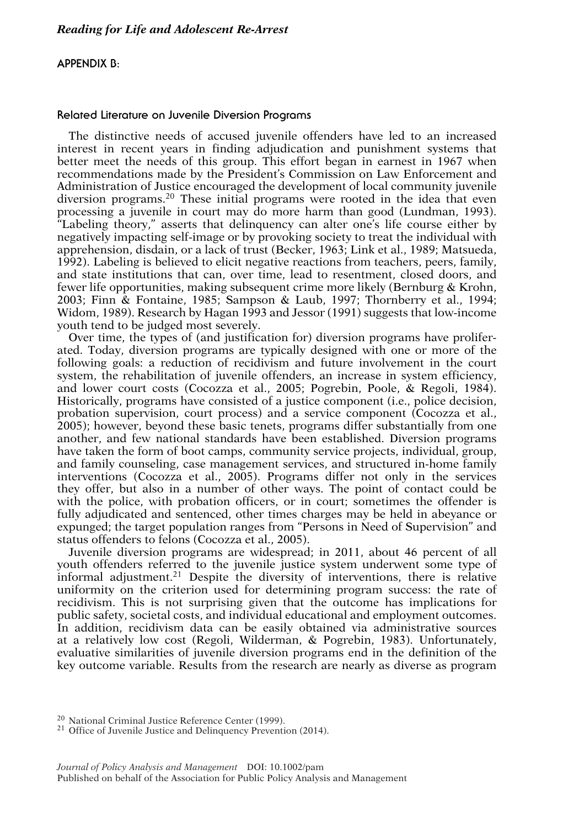# **APPENDIX B:**

### **Related Literature on Juvenile Diversion Programs**

The distinctive needs of accused juvenile offenders have led to an increased interest in recent years in finding adjudication and punishment systems that better meet the needs of this group. This effort began in earnest in 1967 when recommendations made by the President's Commission on Law Enforcement and Administration of Justice encouraged the development of local community juvenile diversion programs.20 These initial programs were rooted in the idea that even processing a juvenile in court may do more harm than good (Lundman, 1993). "Labeling theory," asserts that delinquency can alter one's life course either by negatively impacting self-image or by provoking society to treat the individual with apprehension, disdain, or a lack of trust (Becker, 1963; Link et al., 1989; Matsueda, 1992). Labeling is believed to elicit negative reactions from teachers, peers, family, and state institutions that can, over time, lead to resentment, closed doors, and fewer life opportunities, making subsequent crime more likely (Bernburg & Krohn, 2003; Finn & Fontaine, 1985; Sampson & Laub, 1997; Thornberry et al., 1994; Widom, 1989). Research by Hagan 1993 and Jessor (1991) suggests that low-income youth tend to be judged most severely.

Over time, the types of (and justification for) diversion programs have proliferated. Today, diversion programs are typically designed with one or more of the following goals: a reduction of recidivism and future involvement in the court system, the rehabilitation of juvenile offenders, an increase in system efficiency, and lower court costs (Cocozza et al., 2005; Pogrebin, Poole, & Regoli, 1984). Historically, programs have consisted of a justice component (i.e., police decision, probation supervision, court process) and a service component (Cocozza et al., 2005); however, beyond these basic tenets, programs differ substantially from one another, and few national standards have been established. Diversion programs have taken the form of boot camps, community service projects, individual, group, and family counseling, case management services, and structured in-home family interventions (Cocozza et al., 2005). Programs differ not only in the services they offer, but also in a number of other ways. The point of contact could be with the police, with probation officers, or in court; sometimes the offender is fully adjudicated and sentenced, other times charges may be held in abeyance or expunged; the target population ranges from "Persons in Need of Supervision" and status offenders to felons (Cocozza et al., 2005).

Juvenile diversion programs are widespread; in 2011, about 46 percent of all youth offenders referred to the juvenile justice system underwent some type of informal adjustment.<sup>21</sup> Despite the diversity of interventions, there is relative uniformity on the criterion used for determining program success: the rate of recidivism. This is not surprising given that the outcome has implications for public safety, societal costs, and individual educational and employment outcomes. In addition, recidivism data can be easily obtained via administrative sources at a relatively low cost (Regoli, Wilderman, & Pogrebin, 1983). Unfortunately, evaluative similarities of juvenile diversion programs end in the definition of the key outcome variable. Results from the research are nearly as diverse as program

<sup>20</sup> National Criminal Justice Reference Center (1999).<br><sup>21</sup> Office of Juvenile Justice and Delinquency Prevention (2014).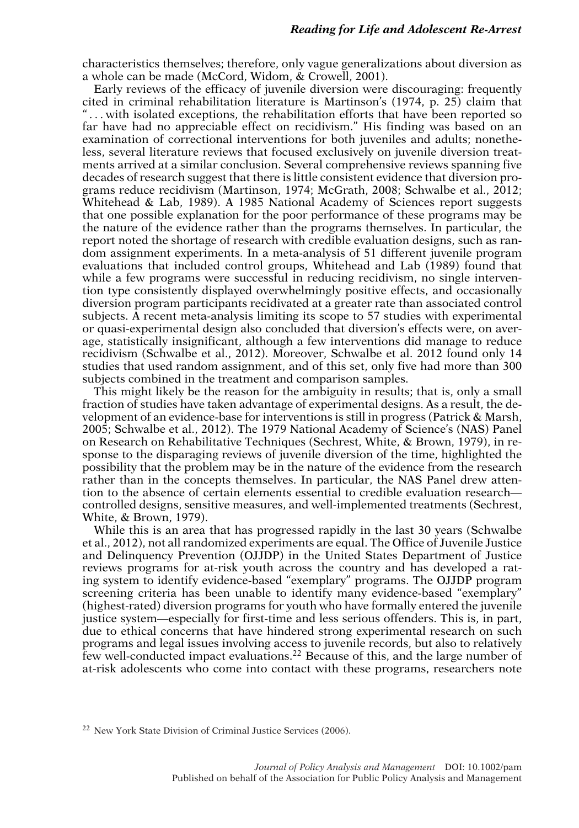characteristics themselves; therefore, only vague generalizations about diversion as a whole can be made (McCord, Widom, & Crowell, 2001).

Early reviews of the efficacy of juvenile diversion were discouraging: frequently cited in criminal rehabilitation literature is Martinson's (1974, p. 25) claim that " . . . with isolated exceptions, the rehabilitation efforts that have been reported so far have had no appreciable effect on recidivism." His finding was based on an examination of correctional interventions for both juveniles and adults; nonetheless, several literature reviews that focused exclusively on juvenile diversion treatments arrived at a similar conclusion. Several comprehensive reviews spanning five decades of research suggest that there is little consistent evidence that diversion programs reduce recidivism (Martinson, 1974; McGrath, 2008; Schwalbe et al., 2012; Whitehead & Lab, 1989). A 1985 National Academy of Sciences report suggests that one possible explanation for the poor performance of these programs may be the nature of the evidence rather than the programs themselves. In particular, the report noted the shortage of research with credible evaluation designs, such as random assignment experiments. In a meta-analysis of 51 different juvenile program evaluations that included control groups, Whitehead and Lab (1989) found that while a few programs were successful in reducing recidivism, no single intervention type consistently displayed overwhelmingly positive effects, and occasionally diversion program participants recidivated at a greater rate than associated control subjects. A recent meta-analysis limiting its scope to 57 studies with experimental or quasi-experimental design also concluded that diversion's effects were, on average, statistically insignificant, although a few interventions did manage to reduce recidivism (Schwalbe et al., 2012). Moreover, Schwalbe et al. 2012 found only 14 studies that used random assignment, and of this set, only five had more than 300 subjects combined in the treatment and comparison samples.

This might likely be the reason for the ambiguity in results; that is, only a small fraction of studies have taken advantage of experimental designs. As a result, the development of an evidence-base for interventions is still in progress (Patrick  $\&$  Marsh, 2005; Schwalbe et al., 2012). The 1979 National Academy of Science's (NAS) Panel on Research on Rehabilitative Techniques (Sechrest, White, & Brown, 1979), in response to the disparaging reviews of juvenile diversion of the time, highlighted the possibility that the problem may be in the nature of the evidence from the research rather than in the concepts themselves. In particular, the NAS Panel drew attention to the absence of certain elements essential to credible evaluation research controlled designs, sensitive measures, and well-implemented treatments (Sechrest, White, & Brown, 1979).

While this is an area that has progressed rapidly in the last 30 years (Schwalbe et al., 2012), not all randomized experiments are equal. The Office of Juvenile Justice and Delinquency Prevention (OJJDP) in the United States Department of Justice reviews programs for at-risk youth across the country and has developed a rating system to identify evidence-based "exemplary" programs. The OJJDP program screening criteria has been unable to identify many evidence-based "exemplary" (highest-rated) diversion programs for youth who have formally entered the juvenile justice system—especially for first-time and less serious offenders. This is, in part, due to ethical concerns that have hindered strong experimental research on such programs and legal issues involving access to juvenile records, but also to relatively few well-conducted impact evaluations.<sup>22</sup> Because of this, and the large number of at-risk adolescents who come into contact with these programs, researchers note

<sup>22</sup> New York State Division of Criminal Justice Services (2006).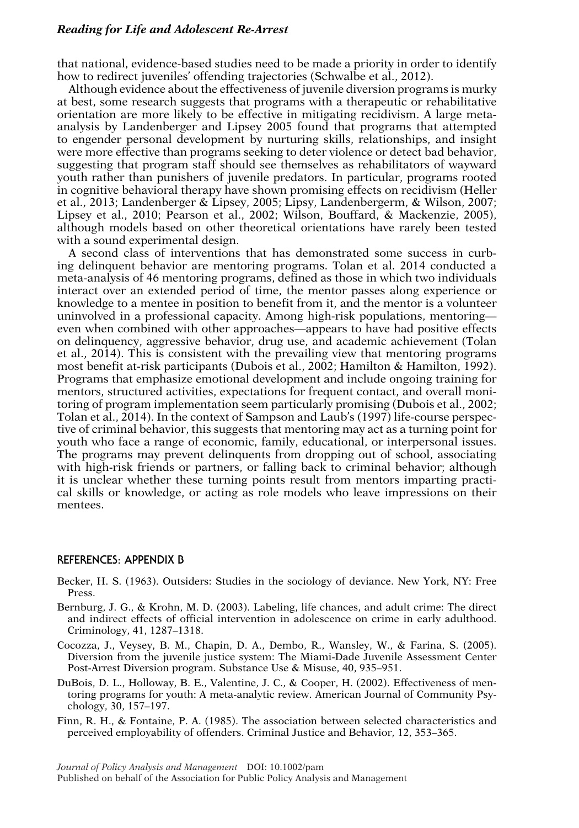that national, evidence-based studies need to be made a priority in order to identify how to redirect juveniles' offending trajectories (Schwalbe et al., 2012).

Although evidence about the effectiveness of juvenile diversion programs is murky at best, some research suggests that programs with a therapeutic or rehabilitative orientation are more likely to be effective in mitigating recidivism. A large metaanalysis by Landenberger and Lipsey 2005 found that programs that attempted to engender personal development by nurturing skills, relationships, and insight were more effective than programs seeking to deter violence or detect bad behavior, suggesting that program staff should see themselves as rehabilitators of wayward youth rather than punishers of juvenile predators. In particular, programs rooted in cognitive behavioral therapy have shown promising effects on recidivism (Heller et al., 2013; Landenberger & Lipsey, 2005; Lipsy, Landenbergerm, & Wilson, 2007; Lipsey et al., 2010; Pearson et al., 2002; Wilson, Bouffard, & Mackenzie, 2005), although models based on other theoretical orientations have rarely been tested with a sound experimental design.

A second class of interventions that has demonstrated some success in curbing delinquent behavior are mentoring programs. Tolan et al. 2014 conducted a meta-analysis of 46 mentoring programs, defined as those in which two individuals interact over an extended period of time, the mentor passes along experience or knowledge to a mentee in position to benefit from it, and the mentor is a volunteer uninvolved in a professional capacity. Among high-risk populations, mentoring even when combined with other approaches—appears to have had positive effects on delinquency, aggressive behavior, drug use, and academic achievement (Tolan et al., 2014). This is consistent with the prevailing view that mentoring programs most benefit at-risk participants (Dubois et al., 2002; Hamilton & Hamilton, 1992). Programs that emphasize emotional development and include ongoing training for mentors, structured activities, expectations for frequent contact, and overall monitoring of program implementation seem particularly promising (Dubois et al., 2002; Tolan et al., 2014). In the context of Sampson and Laub's (1997) life-course perspective of criminal behavior, this suggests that mentoring may act as a turning point for youth who face a range of economic, family, educational, or interpersonal issues. The programs may prevent delinquents from dropping out of school, associating with high-risk friends or partners, or falling back to criminal behavior; although it is unclear whether these turning points result from mentors imparting practical skills or knowledge, or acting as role models who leave impressions on their mentees.

#### **REFERENCES: APPENDIX B**

- Becker, H. S. (1963). Outsiders: Studies in the sociology of deviance. New York, NY: Free Press.
- Bernburg, J. G., & Krohn, M. D. (2003). Labeling, life chances, and adult crime: The direct and indirect effects of official intervention in adolescence on crime in early adulthood. Criminology, 41, 1287–1318.
- Cocozza, J., Veysey, B. M., Chapin, D. A., Dembo, R., Wansley, W., & Farina, S. (2005). Diversion from the juvenile justice system: The Miami-Dade Juvenile Assessment Center Post-Arrest Diversion program. Substance Use & Misuse, 40, 935–951.
- DuBois, D. L., Holloway, B. E., Valentine, J. C., & Cooper, H. (2002). Effectiveness of mentoring programs for youth: A meta-analytic review. American Journal of Community Psychology, 30, 157–197.
- Finn, R. H., & Fontaine, P. A. (1985). The association between selected characteristics and perceived employability of offenders. Criminal Justice and Behavior, 12, 353–365.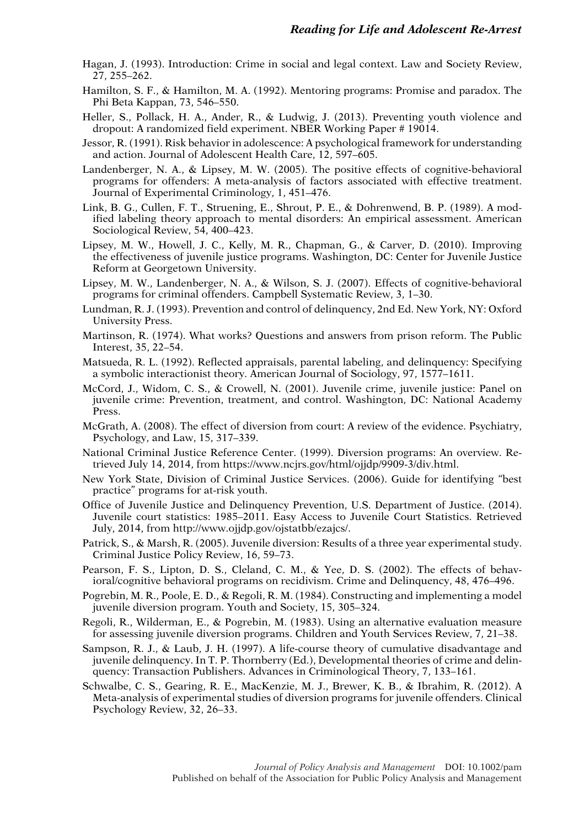- Hagan, J. (1993). Introduction: Crime in social and legal context. Law and Society Review, 27, 255–262.
- Hamilton, S. F., & Hamilton, M. A. (1992). Mentoring programs: Promise and paradox. The Phi Beta Kappan, 73, 546–550.
- Heller, S., Pollack, H. A., Ander, R., & Ludwig, J. (2013). Preventing youth violence and dropout: A randomized field experiment. NBER Working Paper # 19014.
- Jessor, R. (1991). Risk behavior in adolescence: A psychological framework for understanding and action. Journal of Adolescent Health Care, 12, 597–605.
- Landenberger, N. A., & Lipsey, M. W. (2005). The positive effects of cognitive-behavioral programs for offenders: A meta-analysis of factors associated with effective treatment. Journal of Experimental Criminology, 1, 451–476.
- Link, B. G., Cullen, F. T., Struening, E., Shrout, P. E., & Dohrenwend, B. P. (1989). A modified labeling theory approach to mental disorders: An empirical assessment. American Sociological Review, 54, 400–423.
- Lipsey, M. W., Howell, J. C., Kelly, M. R., Chapman, G., & Carver, D. (2010). Improving the effectiveness of juvenile justice programs. Washington, DC: Center for Juvenile Justice Reform at Georgetown University.
- Lipsey, M. W., Landenberger, N. A., & Wilson, S. J. (2007). Effects of cognitive-behavioral programs for criminal offenders. Campbell Systematic Review, 3, 1–30.
- Lundman, R. J. (1993). Prevention and control of delinquency, 2nd Ed. New York, NY: Oxford University Press.
- Martinson, R. (1974). What works? Questions and answers from prison reform. The Public Interest, 35, 22–54.
- Matsueda, R. L. (1992). Reflected appraisals, parental labeling, and delinquency: Specifying a symbolic interactionist theory. American Journal of Sociology, 97, 1577–1611.
- McCord, J., Widom, C. S., & Crowell, N. (2001). Juvenile crime, juvenile justice: Panel on juvenile crime: Prevention, treatment, and control. Washington, DC: National Academy Press.
- McGrath, A. (2008). The effect of diversion from court: A review of the evidence. Psychiatry, Psychology, and Law, 15, 317–339.
- National Criminal Justice Reference Center. (1999). Diversion programs: An overview. Retrieved July 14, 2014, from https://www.ncjrs.gov/html/ojjdp/9909-3/div.html.
- New York State, Division of Criminal Justice Services. (2006). Guide for identifying "best practice" programs for at-risk youth.
- Office of Juvenile Justice and Delinquency Prevention, U.S. Department of Justice. (2014). Juvenile court statistics: 1985–2011. Easy Access to Juvenile Court Statistics. Retrieved July, 2014, from http://www.ojjdp.gov/ojstatbb/ezajcs/.
- Patrick, S., & Marsh, R. (2005). Juvenile diversion: Results of a three year experimental study. Criminal Justice Policy Review, 16, 59–73.
- Pearson, F. S., Lipton, D. S., Cleland, C. M., & Yee, D. S. (2002). The effects of behavioral/cognitive behavioral programs on recidivism. Crime and Delinquency, 48, 476–496.
- Pogrebin, M. R., Poole, E. D., & Regoli, R. M. (1984). Constructing and implementing a model juvenile diversion program. Youth and Society, 15, 305–324.
- Regoli, R., Wilderman, E., & Pogrebin, M. (1983). Using an alternative evaluation measure for assessing juvenile diversion programs. Children and Youth Services Review, 7, 21–38.
- Sampson, R. J., & Laub, J. H. (1997). A life-course theory of cumulative disadvantage and juvenile delinquency. In T. P. Thornberry (Ed.), Developmental theories of crime and delinquency: Transaction Publishers. Advances in Criminological Theory, 7, 133–161.
- Schwalbe, C. S., Gearing, R. E., MacKenzie, M. J., Brewer, K. B., & Ibrahim, R. (2012). A Meta-analysis of experimental studies of diversion programs for juvenile offenders. Clinical Psychology Review, 32, 26–33.